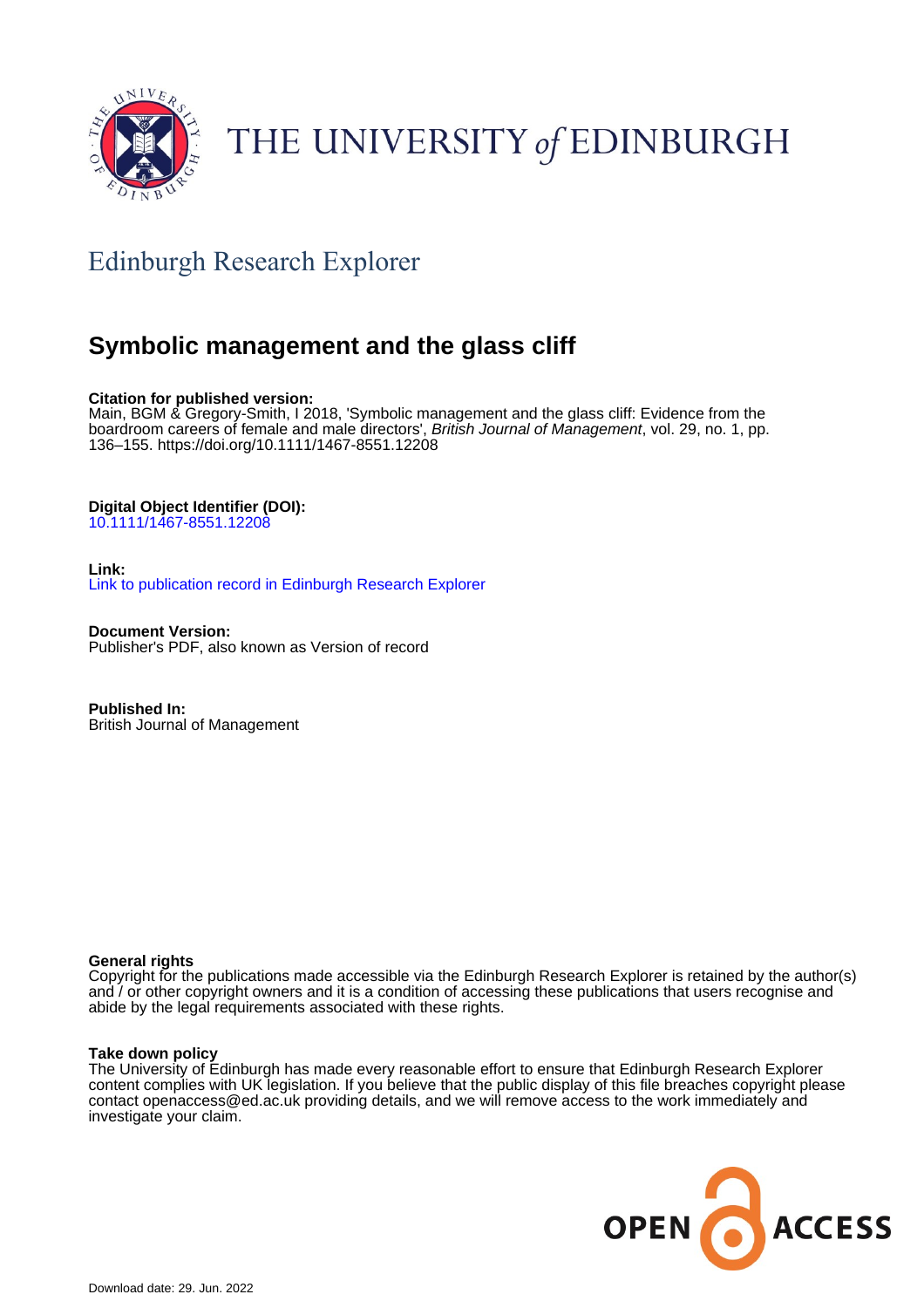

# THE UNIVERSITY of EDINBURGH

## Edinburgh Research Explorer

## **Symbolic management and the glass cliff**

## **Citation for published version:**

Main, BGM & Gregory-Smith, I 2018, 'Symbolic management and the glass cliff: Evidence from the boardroom careers of female and male directors', British Journal of Management, vol. 29, no. 1, pp. 136–155.<https://doi.org/10.1111/1467-8551.12208>

## **Digital Object Identifier (DOI):**

[10.1111/1467-8551.12208](https://doi.org/10.1111/1467-8551.12208)

#### **Link:** [Link to publication record in Edinburgh Research Explorer](https://www.research.ed.ac.uk/en/publications/93467f39-e1e8-4525-82c7-f4a4e6c9bc24)

**Document Version:** Publisher's PDF, also known as Version of record

**Published In:** British Journal of Management

## **General rights**

Copyright for the publications made accessible via the Edinburgh Research Explorer is retained by the author(s) and / or other copyright owners and it is a condition of accessing these publications that users recognise and abide by the legal requirements associated with these rights.

### **Take down policy**

The University of Edinburgh has made every reasonable effort to ensure that Edinburgh Research Explorer content complies with UK legislation. If you believe that the public display of this file breaches copyright please contact openaccess@ed.ac.uk providing details, and we will remove access to the work immediately and investigate your claim.

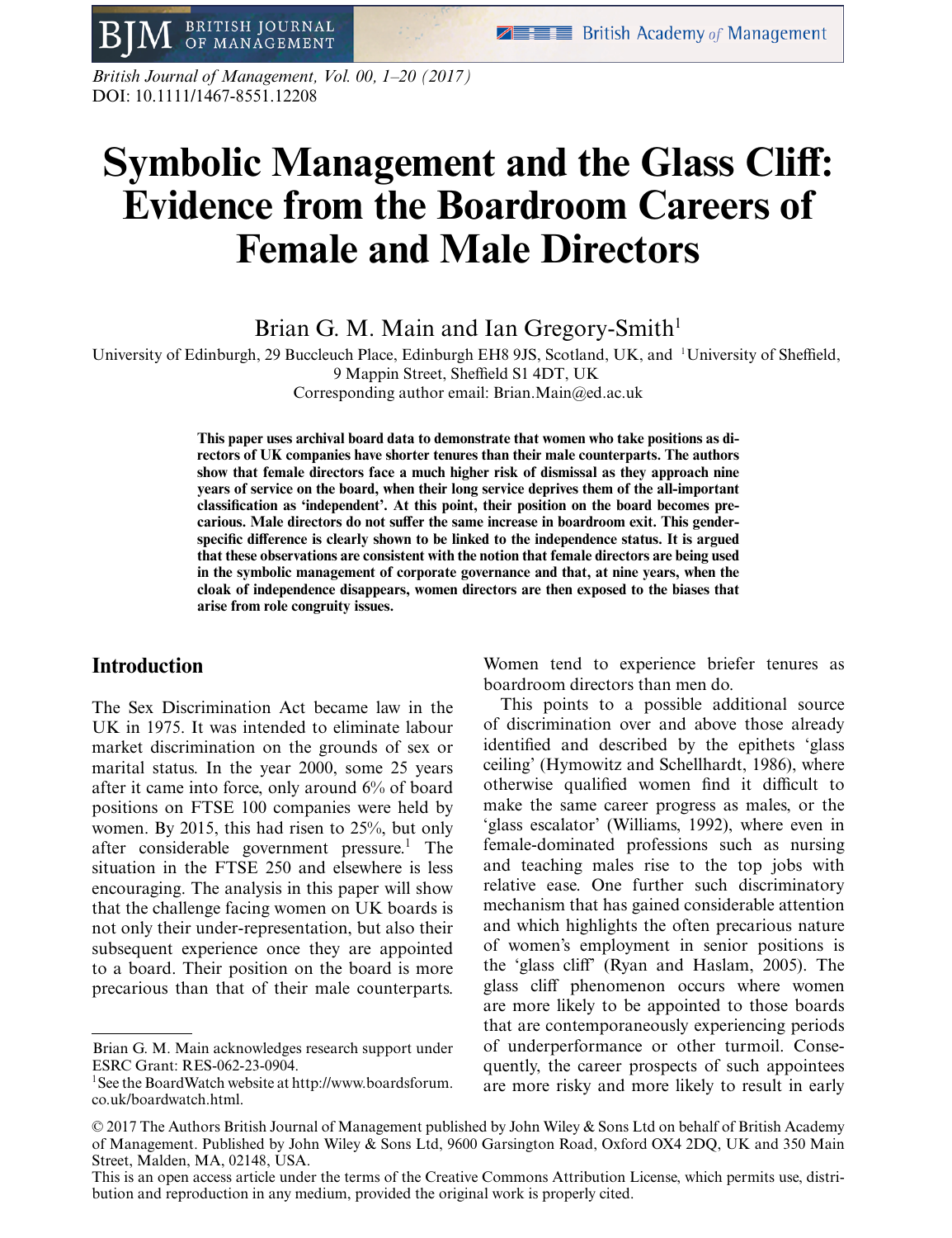*British Journal of Management, Vol. 00, 1–20 (2017)* DOI: 10.1111/1467-8551.12208

# **Symbolic Management and the Glass Cliff: Evidence from the Boardroom Careers of Female and Male Directors**

Brian G. M. Main and Ian Gregory-Smith<sup>1</sup>

University of Edinburgh, 29 Buccleuch Place, Edinburgh EH8 9JS, Scotland, UK, and <sup>1</sup>University of Sheffield, 9 Mappin Street, Sheffield S1 4DT, UK

Corresponding author email: Brian.Main@ed.ac.uk

**This paper uses archival board data to demonstrate that women who take positions as directors of UK companies have shorter tenures than their male counterparts. The authors show that female directors face a much higher risk of dismissal as they approach nine years of service on the board, when their long service deprives them of the all-important classification as 'independent'. At this point, their position on the board becomes precarious. Male directors do not suffer the same increase in boardroom exit. This genderspecific difference is clearly shown to be linked to the independence status. It is argued that these observations are consistent with the notion that female directors are being used in the symbolic management of corporate governance and that, at nine years, when the cloak of independence disappears, women directors are then exposed to the biases that arise from role congruity issues.**

## **Introduction**

The Sex Discrimination Act became law in the UK in 1975. It was intended to eliminate labour market discrimination on the grounds of sex or marital status. In the year 2000, some 25 years after it came into force, only around 6% of board positions on FTSE 100 companies were held by women. By 2015, this had risen to 25%, but only after considerable government pressure.<sup>1</sup> The situation in the FTSE 250 and elsewhere is less encouraging. The analysis in this paper will show that the challenge facing women on UK boards is not only their under-representation, but also their subsequent experience once they are appointed to a board. Their position on the board is more precarious than that of their male counterparts.

Women tend to experience briefer tenures as boardroom directors than men do.

This points to a possible additional source of discrimination over and above those already identified and described by the epithets 'glass ceiling' (Hymowitz and Schellhardt, 1986), where otherwise qualified women find it difficult to make the same career progress as males, or the 'glass escalator' (Williams, 1992), where even in female-dominated professions such as nursing and teaching males rise to the top jobs with relative ease. One further such discriminatory mechanism that has gained considerable attention and which highlights the often precarious nature of women's employment in senior positions is the 'glass cliff' (Ryan and Haslam, 2005). The glass cliff phenomenon occurs where women are more likely to be appointed to those boards that are contemporaneously experiencing periods of underperformance or other turmoil. Consequently, the career prospects of such appointees are more risky and more likely to result in early

Brian G. M. Main acknowledges research support under ESRC Grant: RES-062-23-0904.

<sup>1</sup>See the BoardWatch website at [http://www.boardsforum.](http://www.boardsforum.co.uk/boardwatch.html) [co.uk/boardwatch.html.](http://www.boardsforum.co.uk/boardwatch.html)

<sup>© 2017</sup> The Authors British Journal of Management published by John Wiley & Sons Ltd on behalf of British Academy of Management. Published by John Wiley & Sons Ltd, 9600 Garsington Road, Oxford OX4 2DQ, UK and 350 Main Street, Malden, MA, 02148, USA.

This is an open access article under the terms of the [Creative Commons Attribution](http://creativecommons.org/licenses/by/4.0/) License, which permits use, distribution and reproduction in any medium, provided the original work is properly cited.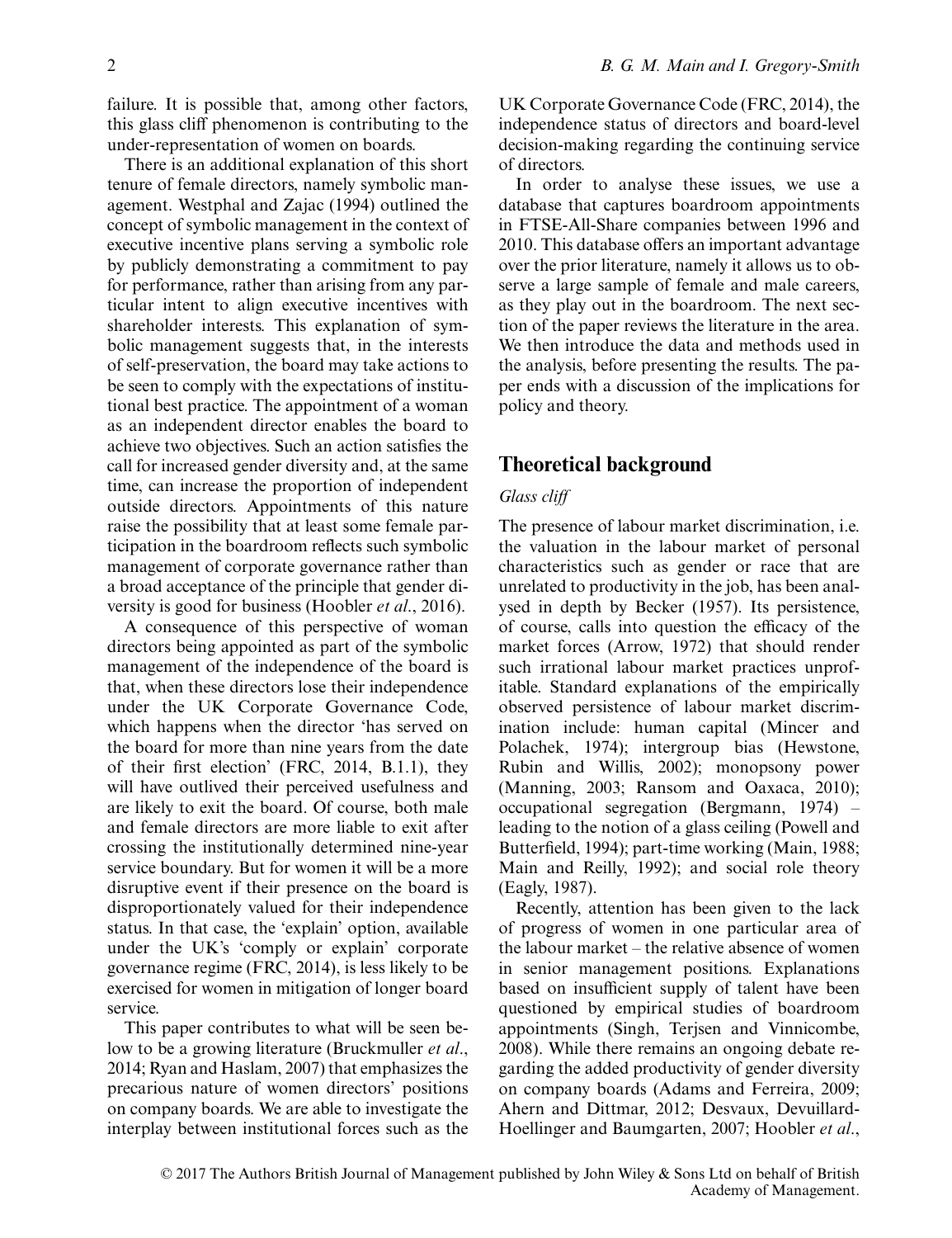failure. It is possible that, among other factors, this glass cliff phenomenon is contributing to the under-representation of women on boards.

There is an additional explanation of this short tenure of female directors, namely symbolic management. Westphal and Zajac (1994) outlined the concept of symbolic management in the context of executive incentive plans serving a symbolic role by publicly demonstrating a commitment to pay for performance, rather than arising from any particular intent to align executive incentives with shareholder interests. This explanation of symbolic management suggests that, in the interests of self-preservation, the board may take actions to be seen to comply with the expectations of institutional best practice. The appointment of a woman as an independent director enables the board to achieve two objectives. Such an action satisfies the call for increased gender diversity and, at the same time, can increase the proportion of independent outside directors. Appointments of this nature raise the possibility that at least some female participation in the boardroom reflects such symbolic management of corporate governance rather than a broad acceptance of the principle that gender diversity is good for business (Hoobler *et al*., 2016).

A consequence of this perspective of woman directors being appointed as part of the symbolic management of the independence of the board is that, when these directors lose their independence under the UK Corporate Governance Code, which happens when the director 'has served on the board for more than nine years from the date of their first election' (FRC, 2014, B.1.1), they will have outlived their perceived usefulness and are likely to exit the board. Of course, both male and female directors are more liable to exit after crossing the institutionally determined nine-year service boundary. But for women it will be a more disruptive event if their presence on the board is disproportionately valued for their independence status. In that case, the 'explain' option, available under the UK's 'comply or explain' corporate governance regime (FRC, 2014), is less likely to be exercised for women in mitigation of longer board service.

This paper contributes to what will be seen below to be a growing literature (Bruckmuller *et al*., 2014; Ryan and Haslam, 2007) that emphasizes the precarious nature of women directors' positions on company boards. We are able to investigate the interplay between institutional forces such as the UK Corporate Governance Code (FRC, 2014), the independence status of directors and board-level decision-making regarding the continuing service of directors.

In order to analyse these issues, we use a database that captures boardroom appointments in FTSE-All-Share companies between 1996 and 2010. This database offers an important advantage over the prior literature, namely it allows us to observe a large sample of female and male careers, as they play out in the boardroom. The next section of the paper reviews the literature in the area. We then introduce the data and methods used in the analysis, before presenting the results. The paper ends with a discussion of the implications for policy and theory.

## **Theoretical background**

#### *Glass cliff*

The presence of labour market discrimination, i.e. the valuation in the labour market of personal characteristics such as gender or race that are unrelated to productivity in the job, has been analysed in depth by Becker (1957). Its persistence, of course, calls into question the efficacy of the market forces (Arrow, 1972) that should render such irrational labour market practices unprofitable. Standard explanations of the empirically observed persistence of labour market discrimination include: human capital (Mincer and Polachek, 1974); intergroup bias (Hewstone, Rubin and Willis, 2002); monopsony power (Manning, 2003; Ransom and Oaxaca, 2010); occupational segregation (Bergmann, 1974) – leading to the notion of a glass ceiling (Powell and Butterfield, 1994); part-time working (Main, 1988; Main and Reilly, 1992); and social role theory (Eagly, 1987).

Recently, attention has been given to the lack of progress of women in one particular area of the labour market – the relative absence of women in senior management positions. Explanations based on insufficient supply of talent have been questioned by empirical studies of boardroom appointments (Singh, Terjsen and Vinnicombe, 2008). While there remains an ongoing debate regarding the added productivity of gender diversity on company boards (Adams and Ferreira, 2009; Ahern and Dittmar, 2012; Desvaux, Devuillard-Hoellinger and Baumgarten, 2007; Hoobler *et al*.,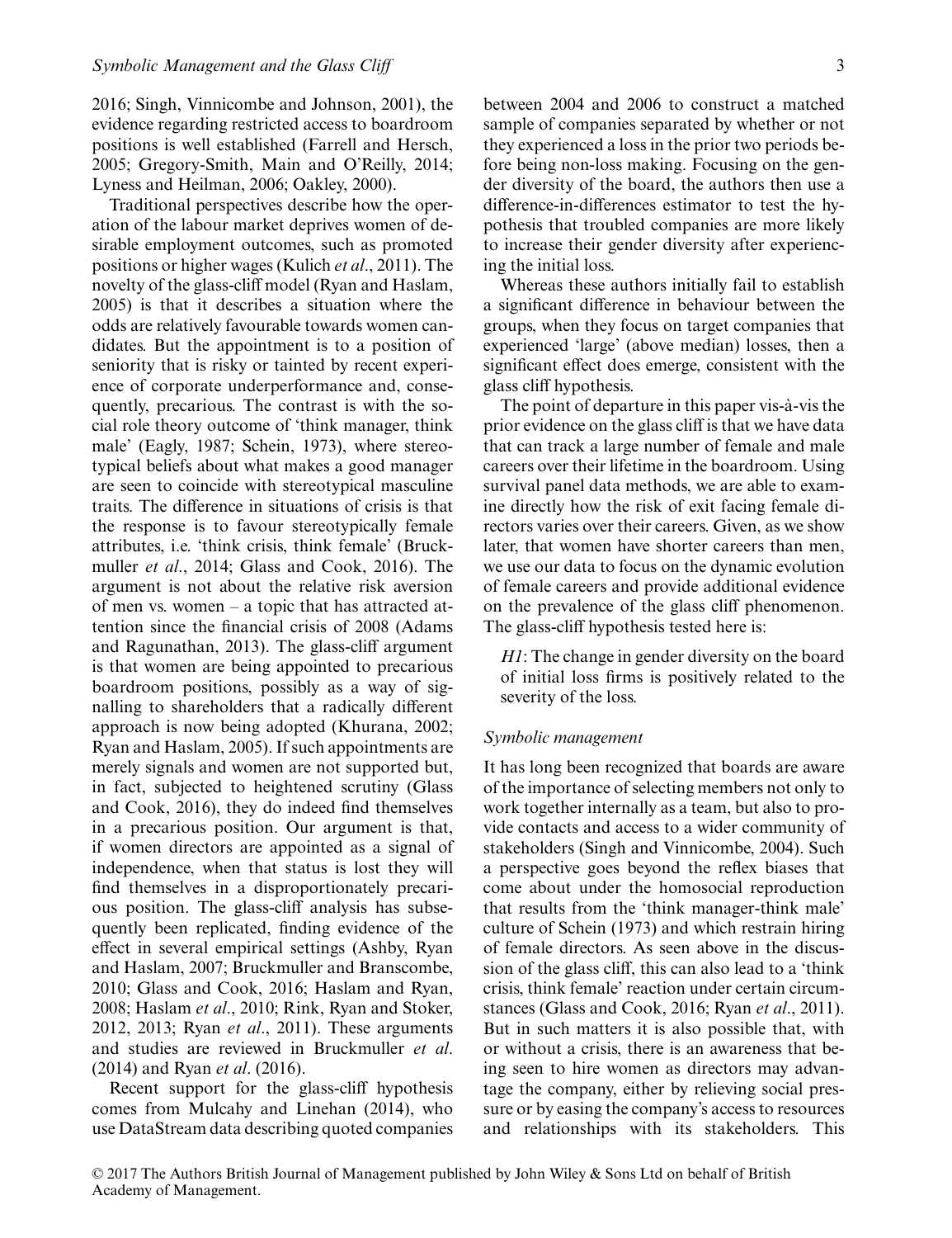2016; Singh, Vinnicombe and Johnson, 2001), the evidence regarding restricted access to boardroom positions is well established (Farrell and Hersch, 2005; Gregory-Smith, Main and O'Reilly, 2014; Lyness and Heilman, 2006; Oakley, 2000).

Traditional perspectives describe how the operation of the labour market deprives women of desirable employment outcomes, such as promoted positions or higher wages (Kulich *et al*., 2011). The novelty of the glass-cliff model (Ryan and Haslam, 2005) is that it describes a situation where the odds are relatively favourable towards women candidates. But the appointment is to a position of seniority that is risky or tainted by recent experience of corporate underperformance and, consequently, precarious. The contrast is with the social role theory outcome of 'think manager, think male' (Eagly, 1987; Schein, 1973), where stereotypical beliefs about what makes a good manager are seen to coincide with stereotypical masculine traits. The difference in situations of crisis is that the response is to favour stereotypically female attributes, i.e. 'think crisis, think female' (Bruckmuller *et al*., 2014; Glass and Cook, 2016). The argument is not about the relative risk aversion of men vs. women – a topic that has attracted attention since the financial crisis of 2008 (Adams and Ragunathan, 2013). The glass-cliff argument is that women are being appointed to precarious boardroom positions, possibly as a way of signalling to shareholders that a radically different approach is now being adopted (Khurana, 2002; Ryan and Haslam, 2005). If such appointments are merely signals and women are not supported but, in fact, subjected to heightened scrutiny (Glass and Cook, 2016), they do indeed find themselves in a precarious position. Our argument is that, if women directors are appointed as a signal of independence, when that status is lost they will find themselves in a disproportionately precarious position. The glass-cliff analysis has subsequently been replicated, finding evidence of the effect in several empirical settings (Ashby, Ryan and Haslam, 2007; Bruckmuller and Branscombe, 2010; Glass and Cook, 2016; Haslam and Ryan, 2008; Haslam *et al*., 2010; Rink, Ryan and Stoker, 2012, 2013; Ryan *et al*., 2011). These arguments and studies are reviewed in Bruckmuller *et al*. (2014) and Ryan *et al*. (2016).

Recent support for the glass-cliff hypothesis comes from Mulcahy and Linehan (2014), who use DataStream data describing quoted companies between 2004 and 2006 to construct a matched sample of companies separated by whether or not they experienced a loss in the prior two periods before being non-loss making. Focusing on the gender diversity of the board, the authors then use a difference-in-differences estimator to test the hypothesis that troubled companies are more likely to increase their gender diversity after experiencing the initial loss.

Whereas these authors initially fail to establish a significant difference in behaviour between the groups, when they focus on target companies that experienced 'large' (above median) losses, then a significant effect does emerge, consistent with the glass cliff hypothesis.

The point of departure in this paper vis-à-vis the prior evidence on the glass cliff is that we have data that can track a large number of female and male careers over their lifetime in the boardroom. Using survival panel data methods, we are able to examine directly how the risk of exit facing female directors varies over their careers. Given, as we show later, that women have shorter careers than men, we use our data to focus on the dynamic evolution of female careers and provide additional evidence on the prevalence of the glass cliff phenomenon. The glass-cliff hypothesis tested here is:

*H1*: The change in gender diversity on the board of initial loss firms is positively related to the severity of the loss.

#### *Symbolic management*

It has long been recognized that boards are aware of the importance of selecting members not only to work together internally as a team, but also to provide contacts and access to a wider community of stakeholders (Singh and Vinnicombe, 2004). Such a perspective goes beyond the reflex biases that come about under the homosocial reproduction that results from the 'think manager-think male' culture of Schein (1973) and which restrain hiring of female directors. As seen above in the discussion of the glass cliff, this can also lead to a 'think crisis, think female' reaction under certain circumstances (Glass and Cook, 2016; Ryan *et al*., 2011). But in such matters it is also possible that, with or without a crisis, there is an awareness that being seen to hire women as directors may advantage the company, either by relieving social pressure or by easing the company's access to resources and relationships with its stakeholders. This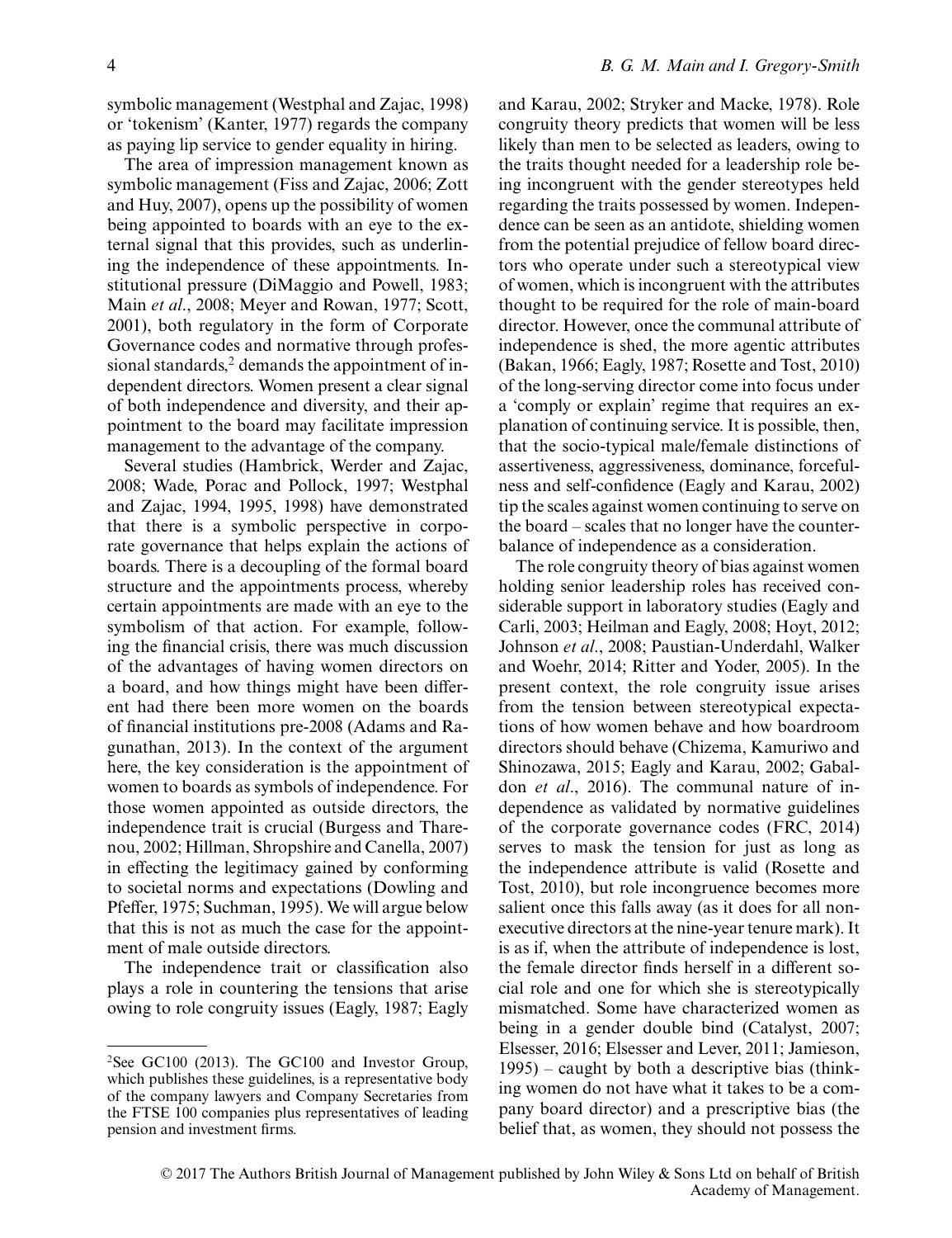symbolic management (Westphal and Zajac, 1998) or 'tokenism' (Kanter, 1977) regards the company as paying lip service to gender equality in hiring.

The area of impression management known as symbolic management (Fiss and Zajac, 2006; Zott and Huy, 2007), opens up the possibility of women being appointed to boards with an eye to the external signal that this provides, such as underlining the independence of these appointments. Institutional pressure (DiMaggio and Powell, 1983; Main *et al*., 2008; Meyer and Rowan, 1977; Scott, 2001), both regulatory in the form of Corporate Governance codes and normative through professional standards, $\frac{2}{3}$  demands the appointment of independent directors. Women present a clear signal of both independence and diversity, and their appointment to the board may facilitate impression management to the advantage of the company.

Several studies (Hambrick, Werder and Zajac, 2008; Wade, Porac and Pollock, 1997; Westphal and Zajac, 1994, 1995, 1998) have demonstrated that there is a symbolic perspective in corporate governance that helps explain the actions of boards. There is a decoupling of the formal board structure and the appointments process, whereby certain appointments are made with an eye to the symbolism of that action. For example, following the financial crisis, there was much discussion of the advantages of having women directors on a board, and how things might have been different had there been more women on the boards of financial institutions pre-2008 (Adams and Ragunathan, 2013). In the context of the argument here, the key consideration is the appointment of women to boards as symbols of independence. For those women appointed as outside directors, the independence trait is crucial (Burgess and Tharenou, 2002; Hillman, Shropshire and Canella, 2007) in effecting the legitimacy gained by conforming to societal norms and expectations (Dowling and Pfeffer, 1975; Suchman, 1995). We will argue below that this is not as much the case for the appointment of male outside directors.

The independence trait or classification also plays a role in countering the tensions that arise owing to role congruity issues (Eagly, 1987; Eagly and Karau, 2002; Stryker and Macke, 1978). Role congruity theory predicts that women will be less likely than men to be selected as leaders, owing to the traits thought needed for a leadership role being incongruent with the gender stereotypes held regarding the traits possessed by women. Independence can be seen as an antidote, shielding women from the potential prejudice of fellow board directors who operate under such a stereotypical view of women, which is incongruent with the attributes thought to be required for the role of main-board director. However, once the communal attribute of independence is shed, the more agentic attributes (Bakan, 1966; Eagly, 1987; Rosette and Tost, 2010) of the long-serving director come into focus under a 'comply or explain' regime that requires an explanation of continuing service. It is possible, then, that the socio-typical male/female distinctions of assertiveness, aggressiveness, dominance, forcefulness and self-confidence (Eagly and Karau, 2002) tip the scales against women continuing to serve on the board – scales that no longer have the counterbalance of independence as a consideration.

The role congruity theory of bias against women holding senior leadership roles has received considerable support in laboratory studies (Eagly and Carli, 2003; Heilman and Eagly, 2008; Hoyt, 2012; Johnson *et al*., 2008; Paustian-Underdahl, Walker and Woehr, 2014; Ritter and Yoder, 2005). In the present context, the role congruity issue arises from the tension between stereotypical expectations of how women behave and how boardroom directors should behave (Chizema, Kamuriwo and Shinozawa, 2015; Eagly and Karau, 2002; Gabaldon *et al*., 2016). The communal nature of independence as validated by normative guidelines of the corporate governance codes (FRC, 2014) serves to mask the tension for just as long as the independence attribute is valid (Rosette and Tost, 2010), but role incongruence becomes more salient once this falls away (as it does for all nonexecutive directors at the nine-year tenure mark). It is as if, when the attribute of independence is lost, the female director finds herself in a different social role and one for which she is stereotypically mismatched. Some have characterized women as being in a gender double bind (Catalyst, 2007; Elsesser, 2016; Elsesser and Lever, 2011; Jamieson, 1995) – caught by both a descriptive bias (thinking women do not have what it takes to be a company board director) and a prescriptive bias (the belief that, as women, they should not possess the

<sup>&</sup>lt;sup>2</sup>See GC100 (2013). The GC100 and Investor Group, which publishes these guidelines, is a representative body of the company lawyers and Company Secretaries from the FTSE 100 companies plus representatives of leading pension and investment firms.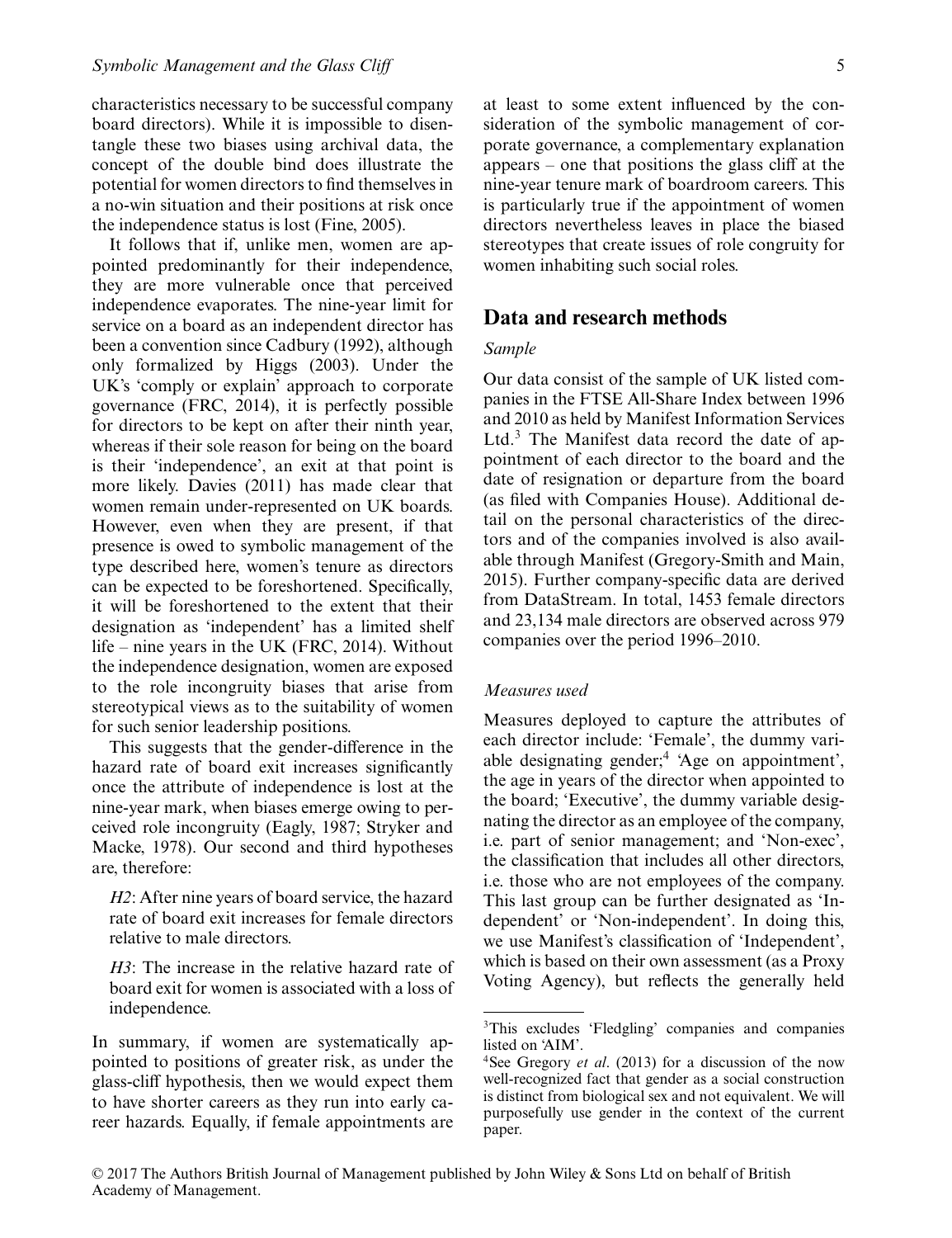characteristics necessary to be successful company board directors). While it is impossible to disentangle these two biases using archival data, the concept of the double bind does illustrate the potential for women directors to find themselves in a no-win situation and their positions at risk once the independence status is lost (Fine, 2005).

It follows that if, unlike men, women are appointed predominantly for their independence, they are more vulnerable once that perceived independence evaporates. The nine-year limit for service on a board as an independent director has been a convention since Cadbury (1992), although only formalized by Higgs (2003). Under the UK's 'comply or explain' approach to corporate governance (FRC, 2014), it is perfectly possible for directors to be kept on after their ninth year, whereas if their sole reason for being on the board is their 'independence', an exit at that point is more likely. Davies (2011) has made clear that women remain under-represented on UK boards. However, even when they are present, if that presence is owed to symbolic management of the type described here, women's tenure as directors can be expected to be foreshortened. Specifically, it will be foreshortened to the extent that their designation as 'independent' has a limited shelf life – nine years in the UK (FRC, 2014). Without the independence designation, women are exposed to the role incongruity biases that arise from stereotypical views as to the suitability of women for such senior leadership positions.

This suggests that the gender-difference in the hazard rate of board exit increases significantly once the attribute of independence is lost at the nine-year mark, when biases emerge owing to perceived role incongruity (Eagly, 1987; Stryker and Macke, 1978). Our second and third hypotheses are, therefore:

*H2*: After nine years of board service, the hazard rate of board exit increases for female directors relative to male directors.

*H3*: The increase in the relative hazard rate of board exit for women is associated with a loss of independence.

In summary, if women are systematically appointed to positions of greater risk, as under the glass-cliff hypothesis, then we would expect them to have shorter careers as they run into early career hazards. Equally, if female appointments are at least to some extent influenced by the consideration of the symbolic management of corporate governance, a complementary explanation appears – one that positions the glass cliff at the nine-year tenure mark of boardroom careers. This is particularly true if the appointment of women directors nevertheless leaves in place the biased stereotypes that create issues of role congruity for women inhabiting such social roles.

## **Data and research methods**

#### *Sample*

Our data consist of the sample of UK listed companies in the FTSE All-Share Index between 1996 and 2010 as held by Manifest Information Services Ltd.<sup>3</sup> The Manifest data record the date of appointment of each director to the board and the date of resignation or departure from the board (as filed with Companies House). Additional detail on the personal characteristics of the directors and of the companies involved is also available through Manifest (Gregory-Smith and Main, 2015). Further company-specific data are derived from DataStream. In total, 1453 female directors and 23,134 male directors are observed across 979 companies over the period 1996–2010.

#### *Measures used*

Measures deployed to capture the attributes of each director include: 'Female', the dummy variable designating gender;<sup>4</sup> 'Age on appointment', the age in years of the director when appointed to the board; 'Executive', the dummy variable designating the director as an employee of the company, i.e. part of senior management; and 'Non-exec', the classification that includes all other directors, i.e. those who are not employees of the company. This last group can be further designated as 'Independent' or 'Non-independent'. In doing this, we use Manifest's classification of 'Independent', which is based on their own assessment (as a Proxy Voting Agency), but reflects the generally held

<sup>3</sup>This excludes 'Fledgling' companies and companies listed on 'AIM'.

<sup>4</sup>See Gregory *et al*. (2013) for a discussion of the now well-recognized fact that gender as a social construction is distinct from biological sex and not equivalent. We will purposefully use gender in the context of the current paper.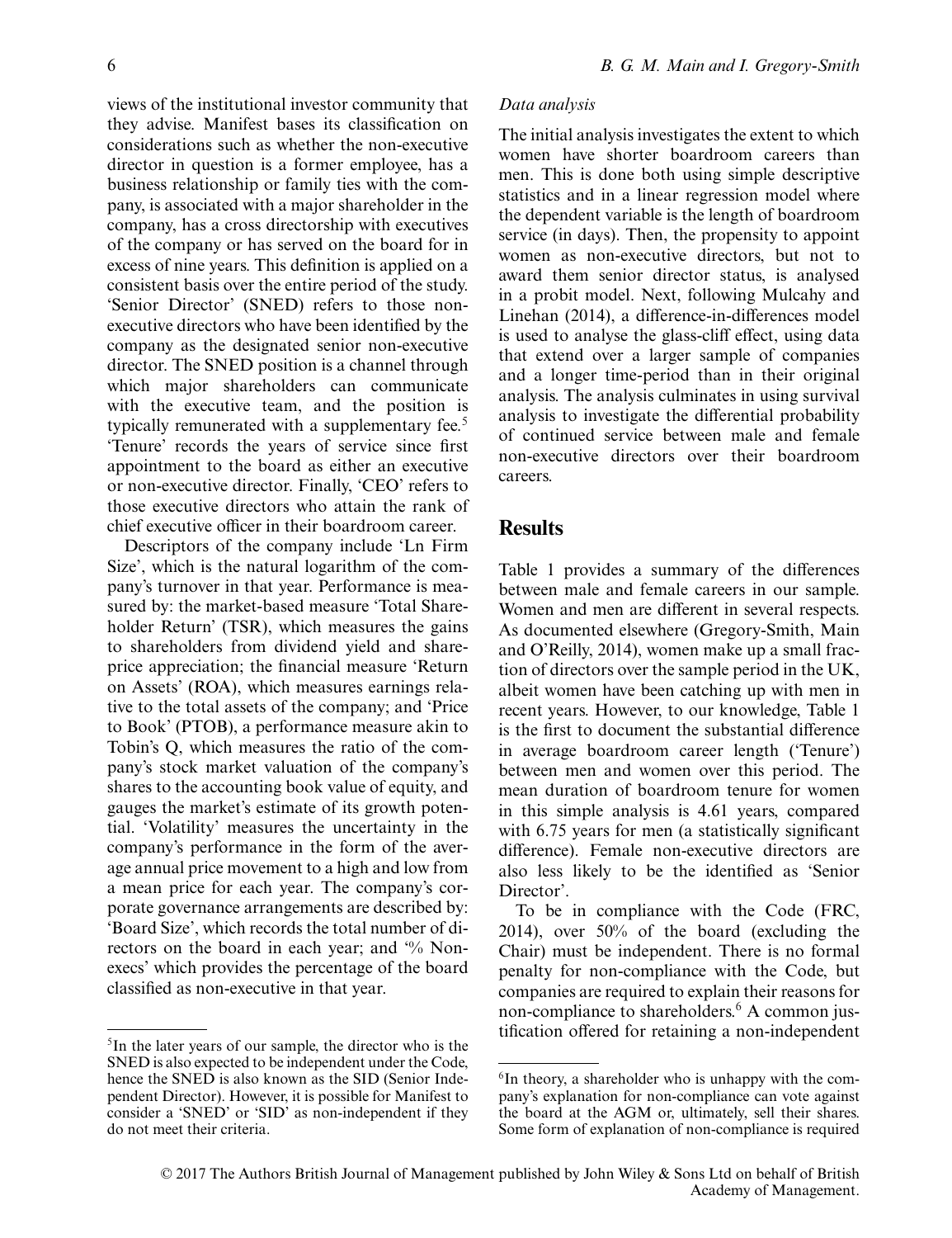views of the institutional investor community that they advise. Manifest bases its classification on considerations such as whether the non-executive director in question is a former employee, has a business relationship or family ties with the company, is associated with a major shareholder in the company, has a cross directorship with executives of the company or has served on the board for in excess of nine years. This definition is applied on a consistent basis over the entire period of the study. 'Senior Director' (SNED) refers to those nonexecutive directors who have been identified by the company as the designated senior non-executive director. The SNED position is a channel through which major shareholders can communicate with the executive team, and the position is typically remunerated with a supplementary fee.<sup>5</sup> 'Tenure' records the years of service since first appointment to the board as either an executive or non-executive director. Finally, 'CEO' refers to those executive directors who attain the rank of chief executive officer in their boardroom career.

Descriptors of the company include 'Ln Firm Size', which is the natural logarithm of the company's turnover in that year. Performance is measured by: the market-based measure 'Total Shareholder Return' (TSR), which measures the gains to shareholders from dividend yield and shareprice appreciation; the financial measure 'Return on Assets' (ROA), which measures earnings relative to the total assets of the company; and 'Price to Book' (PTOB), a performance measure akin to Tobin's Q, which measures the ratio of the company's stock market valuation of the company's shares to the accounting book value of equity, and gauges the market's estimate of its growth potential. 'Volatility' measures the uncertainty in the company's performance in the form of the average annual price movement to a high and low from a mean price for each year. The company's corporate governance arrangements are described by: 'Board Size', which records the total number of directors on the board in each year; and  $\%$  Nonexecs' which provides the percentage of the board classified as non-executive in that year.

#### *Data analysis*

The initial analysis investigates the extent to which women have shorter boardroom careers than men. This is done both using simple descriptive statistics and in a linear regression model where the dependent variable is the length of boardroom service (in days). Then, the propensity to appoint women as non-executive directors, but not to award them senior director status, is analysed in a probit model. Next, following Mulcahy and Linehan (2014), a difference-in-differences model is used to analyse the glass-cliff effect, using data that extend over a larger sample of companies and a longer time-period than in their original analysis. The analysis culminates in using survival analysis to investigate the differential probability of continued service between male and female non-executive directors over their boardroom careers.

## **Results**

Table 1 provides a summary of the differences between male and female careers in our sample. Women and men are different in several respects. As documented elsewhere (Gregory-Smith, Main and O'Reilly, 2014), women make up a small fraction of directors over the sample period in the UK, albeit women have been catching up with men in recent years. However, to our knowledge, Table 1 is the first to document the substantial difference in average boardroom career length ('Tenure') between men and women over this period. The mean duration of boardroom tenure for women in this simple analysis is 4.61 years, compared with 6.75 years for men (a statistically significant difference). Female non-executive directors are also less likely to be the identified as 'Senior Director'.

To be in compliance with the Code (FRC, 2014), over 50% of the board (excluding the Chair) must be independent. There is no formal penalty for non-compliance with the Code, but companies are required to explain their reasons for non-compliance to shareholders.<sup>6</sup> A common justification offered for retaining a non-independent

 $5$ In the later years of our sample, the director who is the SNED is also expected to be independent under the Code, hence the SNED is also known as the SID (Senior Independent Director). However, it is possible for Manifest to consider a 'SNED' or 'SID' as non-independent if they do not meet their criteria.

<sup>&</sup>lt;sup>6</sup>In theory, a shareholder who is unhappy with the company's explanation for non-compliance can vote against the board at the AGM or, ultimately, sell their shares. Some form of explanation of non-compliance is required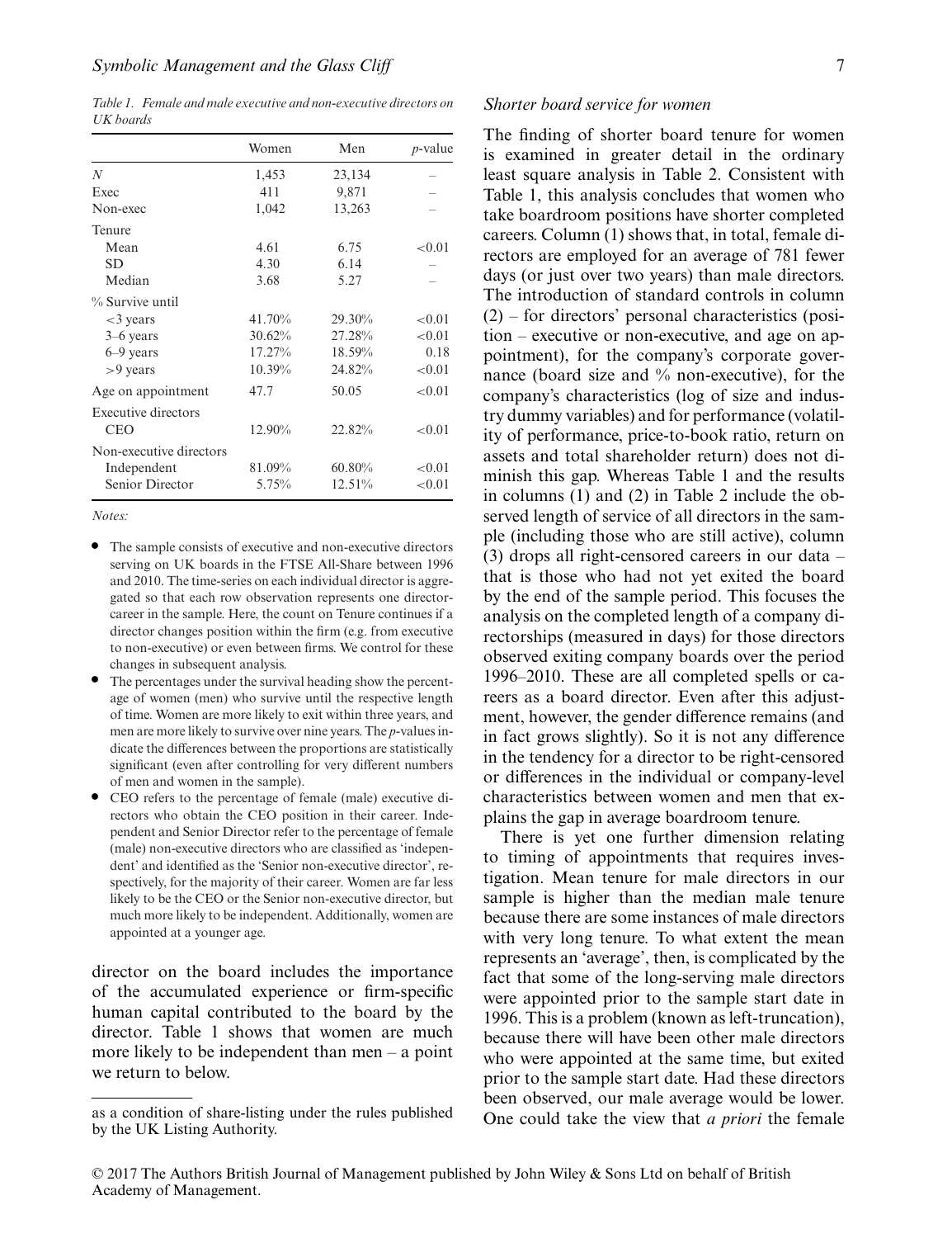*Table 1. Female and male executive and non-executive directors on UK boards*

|                         | Women  | Men    | $p$ -value |
|-------------------------|--------|--------|------------|
| N                       | 1,453  | 23,134 |            |
| Exec                    | 411    | 9,871  |            |
| Non-exec                | 1,042  | 13,263 |            |
| Tenure                  |        |        |            |
| Mean                    | 4.61   | 6.75   | ${<}0.01$  |
| SD.                     | 4.30   | 6.14   |            |
| Median                  | 3.68   | 5.27   |            |
| % Survive until         |        |        |            |
| $<$ 3 years             | 41.70% | 29.30% | ${<}0.01$  |
| $3-6$ years             | 30.62% | 27.28% | < 0.01     |
| $6-9$ years             | 17.27% | 18.59% | 0.18       |
| $>9$ years              | 10.39% | 24.82% | ${<}0.01$  |
| Age on appointment      | 47.7   | 50.05  | ${<}0.01$  |
| Executive directors     |        |        |            |
| CEO                     | 12.90% | 22.82% | < 0.01     |
| Non-executive directors |        |        |            |
| Independent             | 81.09% | 60.80% | ${<}0.01$  |
| Senior Director         | 5.75%  | 12.51% | ${<}0.01$  |

- The sample consists of executive and non-executive directors serving on UK boards in the FTSE All-Share between 1996 and 2010. The time-series on each individual director is aggregated so that each row observation represents one directorcareer in the sample. Here, the count on Tenure continues if a director changes position within the firm (e.g. from executive to non-executive) or even between firms. We control for these
- changes in subsequent analysis.<br>• The percentages under the survival heading show the percentage of women (men) who survive until the respective length of time. Women are more likely to exit within three years, and men are more likely to survive over nine years. The *p*-values indicate the differences between the proportions are statistically significant (even after controlling for very different numbers
- of men and women in the sample).<br>• CEO refers to the percentage of female (male) executive directors who obtain the CEO position in their career. Independent and Senior Director refer to the percentage of female (male) non-executive directors who are classified as 'independent' and identified as the 'Senior non-executive director', respectively, for the majority of their career. Women are far less likely to be the CEO or the Senior non-executive director, but much more likely to be independent. Additionally, women are appointed at a younger age.

director on the board includes the importance of the accumulated experience or firm-specific human capital contributed to the board by the director. Table 1 shows that women are much more likely to be independent than men – a point we return to below.

#### *Shorter board service for women*

The finding of shorter board tenure for women is examined in greater detail in the ordinary least square analysis in Table 2. Consistent with Table 1, this analysis concludes that women who take boardroom positions have shorter completed careers. Column (1) shows that, in total, female directors are employed for an average of 781 fewer days (or just over two years) than male directors. The introduction of standard controls in column (2) – for directors' personal characteristics (position – executive or non-executive, and age on appointment), for the company's corporate governance (board size and % non-executive), for the company's characteristics (log of size and industry dummy variables) and for performance (volatility of performance, price-to-book ratio, return on assets and total shareholder return) does not diminish this gap. Whereas Table 1 and the results in columns (1) and (2) in Table 2 include the observed length of service of all directors in the sample (including those who are still active), column (3) drops all right-censored careers in our data – that is those who had not yet exited the board by the end of the sample period. This focuses the analysis on the completed length of a company directorships (measured in days) for those directors observed exiting company boards over the period 1996–2010. These are all completed spells or careers as a board director. Even after this adjustment, however, the gender difference remains (and in fact grows slightly). So it is not any difference in the tendency for a director to be right-censored or differences in the individual or company-level characteristics between women and men that explains the gap in average boardroom tenure.

There is yet one further dimension relating to timing of appointments that requires investigation. Mean tenure for male directors in our sample is higher than the median male tenure because there are some instances of male directors with very long tenure. To what extent the mean represents an 'average', then, is complicated by the fact that some of the long-serving male directors were appointed prior to the sample start date in 1996. This is a problem (known as left-truncation), because there will have been other male directors who were appointed at the same time, but exited prior to the sample start date. Had these directors been observed, our male average would be lower. One could take the view that *a priori* the female

as a condition of share-listing under the rules published by the UK Listing Authority.

<sup>© 2017</sup> The Authors British Journal of Management published by John Wiley & Sons Ltd on behalf of British Academy of Management.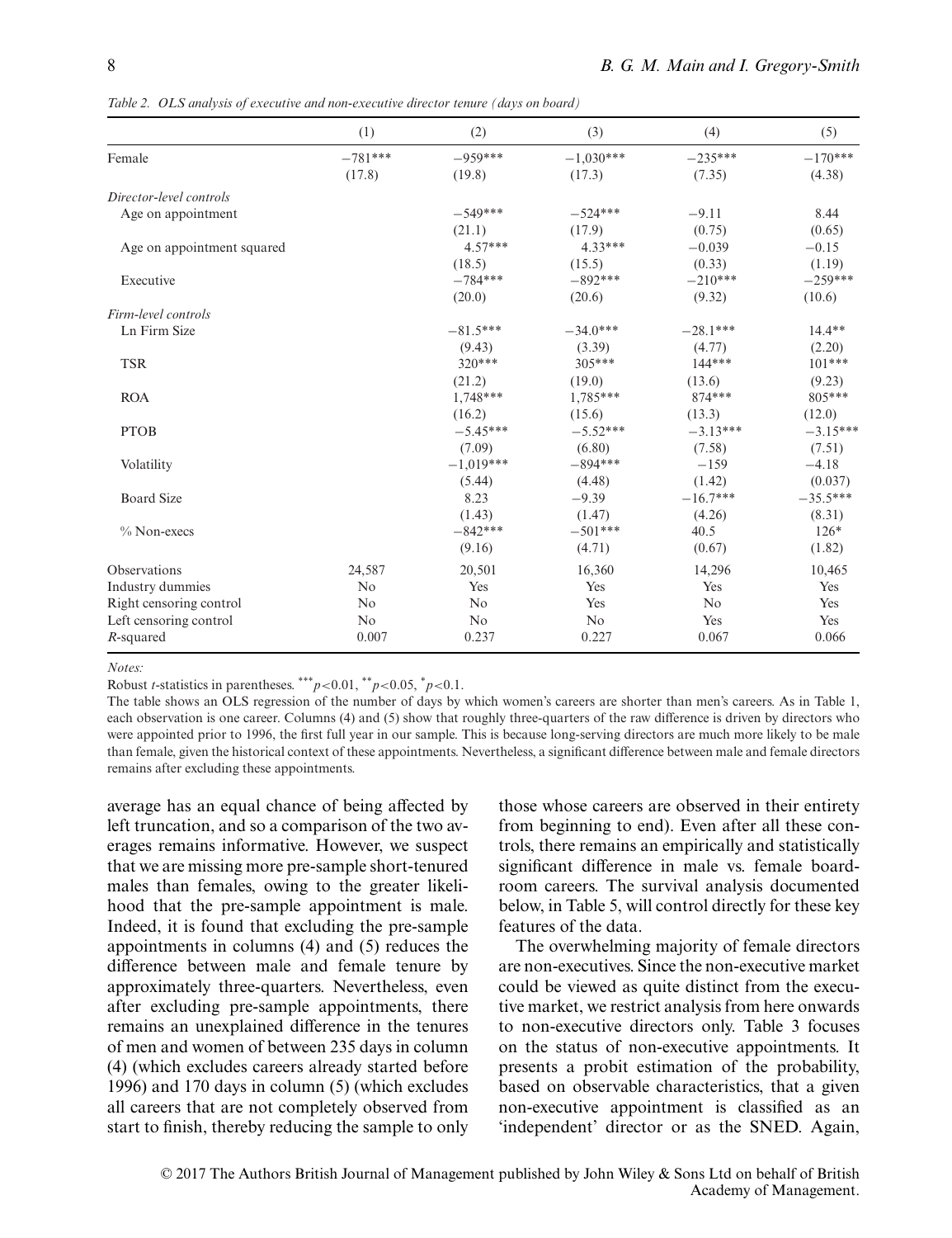*Table 2. OLS analysis of executive and non-executive director tenure (days on board)*

|                            | (1)       | (2)            | (3)            | (4)        | (5)        |
|----------------------------|-----------|----------------|----------------|------------|------------|
| Female                     | $-781***$ | $-959***$      | $-1,030***$    | $-235***$  | $-170***$  |
|                            | (17.8)    | (19.8)         | (17.3)         | (7.35)     | (4.38)     |
| Director-level controls    |           |                |                |            |            |
| Age on appointment         |           | $-549***$      | $-524***$      | $-9.11$    | 8.44       |
|                            |           | (21.1)         | (17.9)         | (0.75)     | (0.65)     |
| Age on appointment squared |           | $4.57***$      | $4.33***$      | $-0.039$   | $-0.15$    |
|                            |           | (18.5)         | (15.5)         | (0.33)     | (1.19)     |
| Executive                  |           | $-784***$      | $-892***$      | $-210***$  | $-259***$  |
|                            |           | (20.0)         | (20.6)         | (9.32)     | (10.6)     |
| Firm-level controls        |           |                |                |            |            |
| Ln Firm Size               |           | $-81.5***$     | $-34.0***$     | $-28.1***$ | $14.4**$   |
|                            |           | (9.43)         | (3.39)         | (4.77)     | (2.20)     |
| <b>TSR</b>                 |           | $320***$       | $305***$       | $144***$   | $101***$   |
|                            |           | (21.2)         | (19.0)         | (13.6)     | (9.23)     |
| <b>ROA</b>                 |           | $1,748***$     | 1,785***       | 874***     | $805***$   |
|                            |           | (16.2)         | (15.6)         | (13.3)     | (12.0)     |
| <b>PTOB</b>                |           | $-5.45***$     | $-5.52***$     | $-3.13***$ | $-3.15***$ |
|                            |           | (7.09)         | (6.80)         | (7.58)     | (7.51)     |
| Volatility                 |           | $-1,019***$    | $-894***$      | $-159$     | $-4.18$    |
|                            |           | (5.44)         | (4.48)         | (1.42)     | (0.037)    |
| <b>Board Size</b>          |           | 8.23           | $-9.39$        | $-16.7***$ | $-35.5***$ |
|                            |           | (1.43)         | (1.47)         | (4.26)     | (8.31)     |
| $%$ Non-execs              |           | $-842***$      | $-501***$      | 40.5       | $126*$     |
|                            |           | (9.16)         | (4.71)         | (0.67)     | (1.82)     |
| Observations               | 24,587    | 20,501         | 16,360         | 14,296     | 10,465     |
| Industry dummies           | No        | Yes            | Yes            | Yes        | Yes        |
| Right censoring control    | No        | No             | Yes            | No         | Yes        |
| Left censoring control     | No        | N <sub>o</sub> | N <sub>o</sub> | Yes        | Yes        |
| $R$ -squared               | 0.007     | 0.237          | 0.227          | 0.067      | 0.066      |
|                            |           |                |                |            |            |

Robust *t*-statistics in parentheses. \*\*\* $p < 0.01$ , \*\* $p < 0.05$ , \* $p < 0.1$ .

The table shows an OLS regression of the number of days by which women's careers are shorter than men's careers. As in Table 1, each observation is one career. Columns (4) and (5) show that roughly three-quarters of the raw difference is driven by directors who were appointed prior to 1996, the first full year in our sample. This is because long-serving directors are much more likely to be male than female, given the historical context of these appointments. Nevertheless, a significant difference between male and female directors remains after excluding these appointments.

average has an equal chance of being affected by left truncation, and so a comparison of the two averages remains informative. However, we suspect that we are missing more pre-sample short-tenured males than females, owing to the greater likelihood that the pre-sample appointment is male. Indeed, it is found that excluding the pre-sample appointments in columns (4) and (5) reduces the difference between male and female tenure by approximately three-quarters. Nevertheless, even after excluding pre-sample appointments, there remains an unexplained difference in the tenures of men and women of between 235 days in column (4) (which excludes careers already started before 1996) and 170 days in column (5) (which excludes all careers that are not completely observed from start to finish, thereby reducing the sample to only those whose careers are observed in their entirety from beginning to end). Even after all these controls, there remains an empirically and statistically significant difference in male vs. female boardroom careers. The survival analysis documented below, in Table 5, will control directly for these key features of the data.

The overwhelming majority of female directors are non-executives. Since the non-executive market could be viewed as quite distinct from the executive market, we restrict analysis from here onwards to non-executive directors only. Table 3 focuses on the status of non-executive appointments. It presents a probit estimation of the probability, based on observable characteristics, that a given non-executive appointment is classified as an 'independent' director or as the SNED. Again,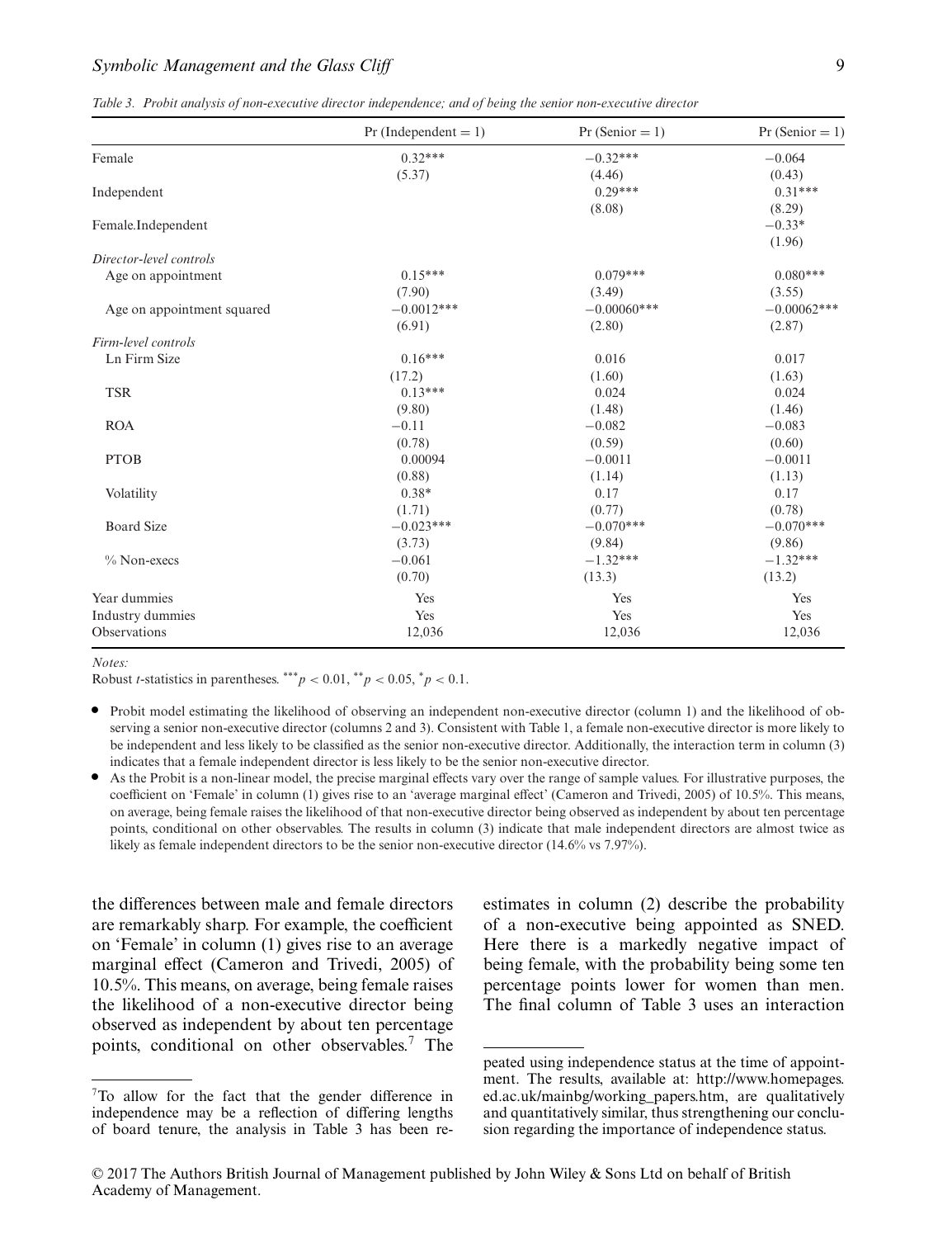|  | Table 3. Probit analysis of non-executive director independence; and of being the senior non-executive director |  |  |  |  |  |  |  |  |
|--|-----------------------------------------------------------------------------------------------------------------|--|--|--|--|--|--|--|--|
|--|-----------------------------------------------------------------------------------------------------------------|--|--|--|--|--|--|--|--|

|                            | $Pr$ (Independent = 1) | $Pr(Senior = 1)$ | $Pr(Senior = 1)$ |
|----------------------------|------------------------|------------------|------------------|
| Female                     | $0.32***$              | $-0.32***$       | $-0.064$         |
|                            | (5.37)                 | (4.46)           | (0.43)           |
| Independent                |                        | $0.29***$        | $0.31***$        |
|                            |                        | (8.08)           | (8.29)           |
| Female.Independent         |                        |                  | $-0.33*$         |
|                            |                        |                  | (1.96)           |
| Director-level controls    |                        |                  |                  |
| Age on appointment         | $0.15***$              | $0.079***$       | $0.080***$       |
|                            | (7.90)                 | (3.49)           | (3.55)           |
| Age on appointment squared | $-0.0012***$           | $-0.00060***$    | $-0.00062***$    |
|                            | (6.91)                 | (2.80)           | (2.87)           |
| Firm-level controls        |                        |                  |                  |
| Ln Firm Size               | $0.16***$              | 0.016            | 0.017            |
|                            | (17.2)                 | (1.60)           | (1.63)           |
| <b>TSR</b>                 | $0.13***$              | 0.024            | 0.024            |
|                            | (9.80)                 | (1.48)           | (1.46)           |
| <b>ROA</b>                 | $-0.11$                | $-0.082$         | $-0.083$         |
|                            | (0.78)                 | (0.59)           | (0.60)           |
| <b>PTOB</b>                | 0.00094                | $-0.0011$        | $-0.0011$        |
|                            | (0.88)                 | (1.14)           | (1.13)           |
| Volatility                 | $0.38*$                | 0.17             | 0.17             |
|                            | (1.71)                 | (0.77)           | (0.78)           |
| <b>Board Size</b>          | $-0.023***$            | $-0.070***$      | $-0.070***$      |
|                            | (3.73)                 | (9.84)           | (9.86)           |
| % Non-execs                | $-0.061$               | $-1.32***$       | $-1.32***$       |
|                            | (0.70)                 | (13.3)           | (13.2)           |
| Year dummies               | Yes                    | Yes              | Yes              |
| Industry dummies           | Yes                    | Yes              | Yes              |
| Observations               | 12,036                 | 12,036           | 12,036           |

Robust *t*-statistics in parentheses. \*\*\*  $p < 0.01$ , \*\*  $p < 0.05$ , \*  $p < 0.1$ .

- Probit model estimating the likelihood of observing an independent non-executive director (column 1) and the likelihood of observing a senior non-executive director (columns 2 and 3). Consistent with Table 1, a female non-executive director is more likely to be independent and less likely to be classified as the senior non-executive director. Additionally, the interaction term in column (3) indicates that a female independent director is less likely to be the senior non-execut
- indicates that a female independent director is less likely to be the senior non-executive director.<br>As the Probit is a non-linear model, the precise marginal effects vary over the range of sample values. For illustrative coefficient on 'Female' in column (1) gives rise to an 'average marginal effect' (Cameron and Trivedi, 2005) of 10.5%. This means, on average, being female raises the likelihood of that non-executive director being observed as independent by about ten percentage points, conditional on other observables. The results in column (3) indicate that male independent directors are almost twice as likely as female independent directors to be the senior non-executive director (14.6% vs 7.97%).

the differences between male and female directors are remarkably sharp. For example, the coefficient on 'Female' in column (1) gives rise to an average marginal effect (Cameron and Trivedi, 2005) of 10.5%. This means, on average, being female raises the likelihood of a non-executive director being observed as independent by about ten percentage points, conditional on other observables.<sup>7</sup> The estimates in column (2) describe the probability of a non-executive being appointed as SNED. Here there is a markedly negative impact of being female, with the probability being some ten percentage points lower for women than men. The final column of Table 3 uses an interaction

<sup>7</sup>To allow for the fact that the gender difference in independence may be a reflection of differing lengths of board tenure, the analysis in Table 3 has been re-

peated using independence status at the time of appointment. The results, available at: [http://www.homepages.](http://www.homepages.ed.ac.uk/mainbg/working_papers.htm) [ed.ac.uk/mainbg/working\\_papers.htm,](http://www.homepages.ed.ac.uk/mainbg/working_papers.htm) are qualitatively and quantitatively similar, thus strengthening our conclusion regarding the importance of independence status.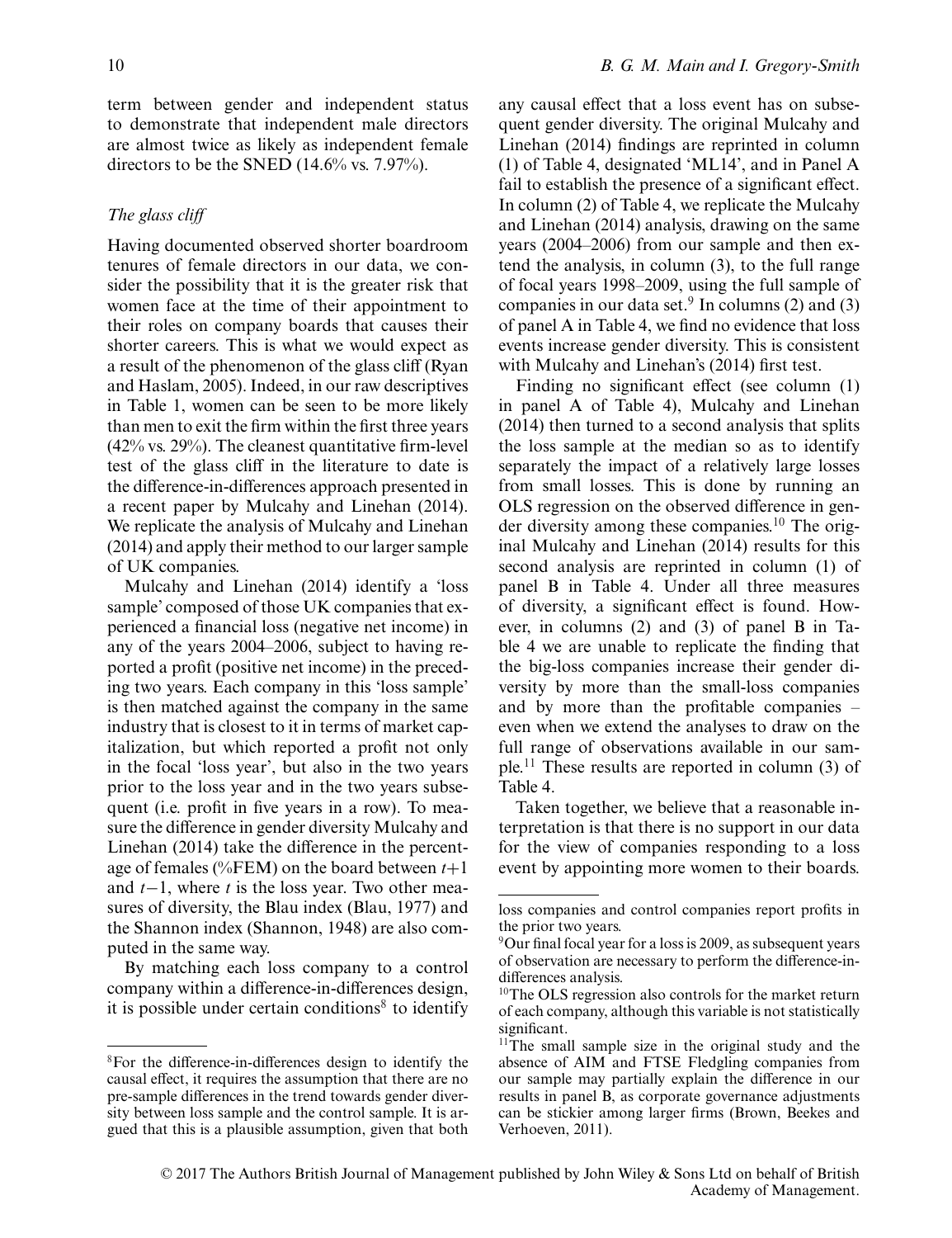term between gender and independent status to demonstrate that independent male directors are almost twice as likely as independent female directors to be the SNED  $(14.6\% \text{ vs. } 7.97\%).$ 

## *The glass cliff*

Having documented observed shorter boardroom tenures of female directors in our data, we consider the possibility that it is the greater risk that women face at the time of their appointment to their roles on company boards that causes their shorter careers. This is what we would expect as a result of the phenomenon of the glass cliff (Ryan and Haslam, 2005). Indeed, in our raw descriptives in Table 1, women can be seen to be more likely than men to exit the firm within the first three years (42% vs. 29%). The cleanest quantitative firm-level test of the glass cliff in the literature to date is the difference-in-differences approach presented in a recent paper by Mulcahy and Linehan (2014). We replicate the analysis of Mulcahy and Linehan (2014) and apply their method to our larger sample of UK companies.

Mulcahy and Linehan (2014) identify a 'loss sample' composed of those UK companies that experienced a financial loss (negative net income) in any of the years 2004–2006, subject to having reported a profit (positive net income) in the preceding two years. Each company in this 'loss sample' is then matched against the company in the same industry that is closest to it in terms of market capitalization, but which reported a profit not only in the focal 'loss year', but also in the two years prior to the loss year and in the two years subsequent (i.e. profit in five years in a row). To measure the difference in gender diversity Mulcahy and Linehan (2014) take the difference in the percentage of females (%FEM) on the board between *t*+1 and *t*−1, where *t* is the loss year. Two other measures of diversity, the Blau index (Blau, 1977) and the Shannon index (Shannon, 1948) are also computed in the same way.

By matching each loss company to a control company within a difference-in-differences design, it is possible under certain conditions $\delta$  to identify any causal effect that a loss event has on subsequent gender diversity. The original Mulcahy and Linehan (2014) findings are reprinted in column (1) of Table 4, designated 'ML14', and in Panel A fail to establish the presence of a significant effect. In column (2) of Table 4, we replicate the Mulcahy and Linehan (2014) analysis, drawing on the same years (2004–2006) from our sample and then extend the analysis, in column (3), to the full range of focal years 1998–2009, using the full sample of companies in our data set.<sup>9</sup> In columns (2) and (3) of panel A in Table 4, we find no evidence that loss events increase gender diversity. This is consistent with Mulcahy and Linehan's (2014) first test.

Finding no significant effect (see column (1) in panel A of Table 4), Mulcahy and Linehan (2014) then turned to a second analysis that splits the loss sample at the median so as to identify separately the impact of a relatively large losses from small losses. This is done by running an OLS regression on the observed difference in gender diversity among these companies.<sup>10</sup> The original Mulcahy and Linehan (2014) results for this second analysis are reprinted in column (1) of panel B in Table 4. Under all three measures of diversity, a significant effect is found. However, in columns (2) and (3) of panel B in Table 4 we are unable to replicate the finding that the big-loss companies increase their gender diversity by more than the small-loss companies and by more than the profitable companies – even when we extend the analyses to draw on the full range of observations available in our sample.<sup>11</sup> These results are reported in column  $(3)$  of Table 4.

Taken together, we believe that a reasonable interpretation is that there is no support in our data for the view of companies responding to a loss event by appointing more women to their boards.

<sup>8</sup>For the difference-in-differences design to identify the causal effect, it requires the assumption that there are no pre-sample differences in the trend towards gender diversity between loss sample and the control sample. It is argued that this is a plausible assumption, given that both

loss companies and control companies report profits in the prior two years.

<sup>9</sup>Our final focal year for a loss is 2009, as subsequent years of observation are necessary to perform the difference-indifferences analysis.

<sup>&</sup>lt;sup>10</sup>The OLS regression also controls for the market return of each company, although this variable is not statistically significant.

<sup>&</sup>lt;sup>11</sup>The small sample size in the original study and the absence of AIM and FTSE Fledgling companies from our sample may partially explain the difference in our results in panel B, as corporate governance adjustments can be stickier among larger firms (Brown, Beekes and Verhoeven, 2011).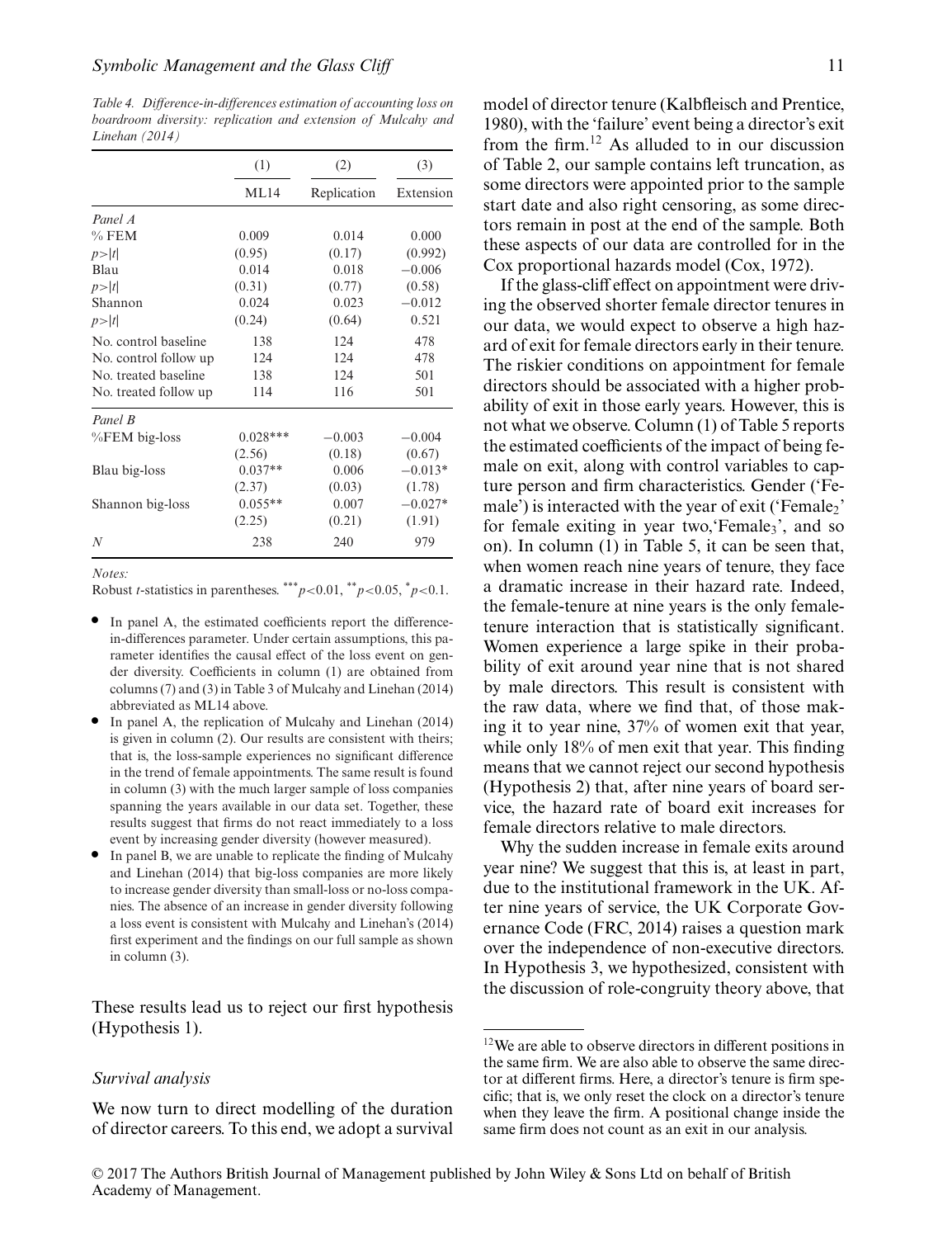*Table 4. Difference-in-differences estimation of accounting loss on boardroom diversity: replication and extension of Mulcahy and Linehan (2014)*

|                       | (1)        | (2)         | (3)       |
|-----------------------|------------|-------------|-----------|
|                       | ML14       | Replication | Extension |
| Panel A               |            |             |           |
| $%$ FEM               | 0.009      | 0.014       | 0.000     |
| p> t                  | (0.95)     | (0.17)      | (0.992)   |
| Blau                  | 0.014      | 0.018       | $-0.006$  |
| p> t                  | (0.31)     | (0.77)      | (0.58)    |
| Shannon               | 0.024      | 0.023       | $-0.012$  |
| p> t                  | (0.24)     | (0.64)      | 0.521     |
| No. control baseline  | 138        | 124         | 478       |
| No. control follow up | 124        | 124         | 478       |
| No. treated baseline  | 138        | 124         | 501       |
| No. treated follow up | 114        | 116         | 501       |
| Panel B               |            |             |           |
| %FEM big-loss         | $0.028***$ | $-0.003$    | $-0.004$  |
|                       | (2.56)     | (0.18)      | (0.67)    |
| Blau big-loss         | $0.037**$  | 0.006       | $-0.013*$ |
|                       | (2.37)     | (0.03)      | (1.78)    |
| Shannon big-loss      | $0.055**$  | 0.007       | $-0.027*$ |
|                       | (2.25)     | (0.21)      | (1.91)    |
| N                     | 238        | 240         | 979       |

Robust *t*-statistics in parentheses. \*\*\*  $p < 0.01$ , \*\*  $p < 0.05$ , \*  $p < 0.1$ .

- In panel A, the estimated coefficients report the differencein-differences parameter. Under certain assumptions, this parameter identifies the causal effect of the loss event on gender diversity. Coefficients in column (1) are obtained from columns (7) and (3) in Table 3 of Mulcahy and Linehan (2014)
- abbreviated as ML14 above.<br>• In panel A, the replication of Mulcahy and Linehan (2014) is given in column (2). Our results are consistent with theirs; that is, the loss-sample experiences no significant difference in the trend of female appointments. The same result is found in column (3) with the much larger sample of loss companies spanning the years available in our data set. Together, these results suggest that firms do not react immediately to a loss
- event by increasing gender diversity (however measured).<br>In panel B, we are unable to replicate the finding of Mulcahy and Linehan (2014) that big-loss companies are more likely to increase gender diversity than small-loss or no-loss companies. The absence of an increase in gender diversity following a loss event is consistent with Mulcahy and Linehan's (2014) first experiment and the findings on our full sample as shown in column (3).

These results lead us to reject our first hypothesis (Hypothesis 1).

#### *Survival analysis*

We now turn to direct modelling of the duration of director careers. To this end, we adopt a survival model of director tenure (Kalbfleisch and Prentice, 1980), with the 'failure' event being a director's exit from the firm.<sup>12</sup> As alluded to in our discussion of Table 2, our sample contains left truncation, as some directors were appointed prior to the sample start date and also right censoring, as some directors remain in post at the end of the sample. Both these aspects of our data are controlled for in the Cox proportional hazards model (Cox, 1972).

If the glass-cliff effect on appointment were driving the observed shorter female director tenures in our data, we would expect to observe a high hazard of exit for female directors early in their tenure. The riskier conditions on appointment for female directors should be associated with a higher probability of exit in those early years. However, this is not what we observe. Column (1) of Table 5 reports the estimated coefficients of the impact of being female on exit, along with control variables to capture person and firm characteristics. Gender ('Female') is interacted with the year of exit ('Female<sub>2</sub>' for female exiting in year two, Female<sub>3</sub>', and so on). In column (1) in Table 5, it can be seen that, when women reach nine years of tenure, they face a dramatic increase in their hazard rate. Indeed, the female-tenure at nine years is the only femaletenure interaction that is statistically significant. Women experience a large spike in their probability of exit around year nine that is not shared by male directors. This result is consistent with the raw data, where we find that, of those making it to year nine, 37% of women exit that year, while only 18% of men exit that year. This finding means that we cannot reject our second hypothesis (Hypothesis 2) that, after nine years of board service, the hazard rate of board exit increases for female directors relative to male directors.

Why the sudden increase in female exits around year nine? We suggest that this is, at least in part, due to the institutional framework in the UK. After nine years of service, the UK Corporate Governance Code (FRC, 2014) raises a question mark over the independence of non-executive directors. In Hypothesis 3, we hypothesized, consistent with the discussion of role-congruity theory above, that

<sup>&</sup>lt;sup>12</sup>We are able to observe directors in different positions in the same firm. We are also able to observe the same director at different firms. Here, a director's tenure is firm specific; that is, we only reset the clock on a director's tenure when they leave the firm. A positional change inside the same firm does not count as an exit in our analysis.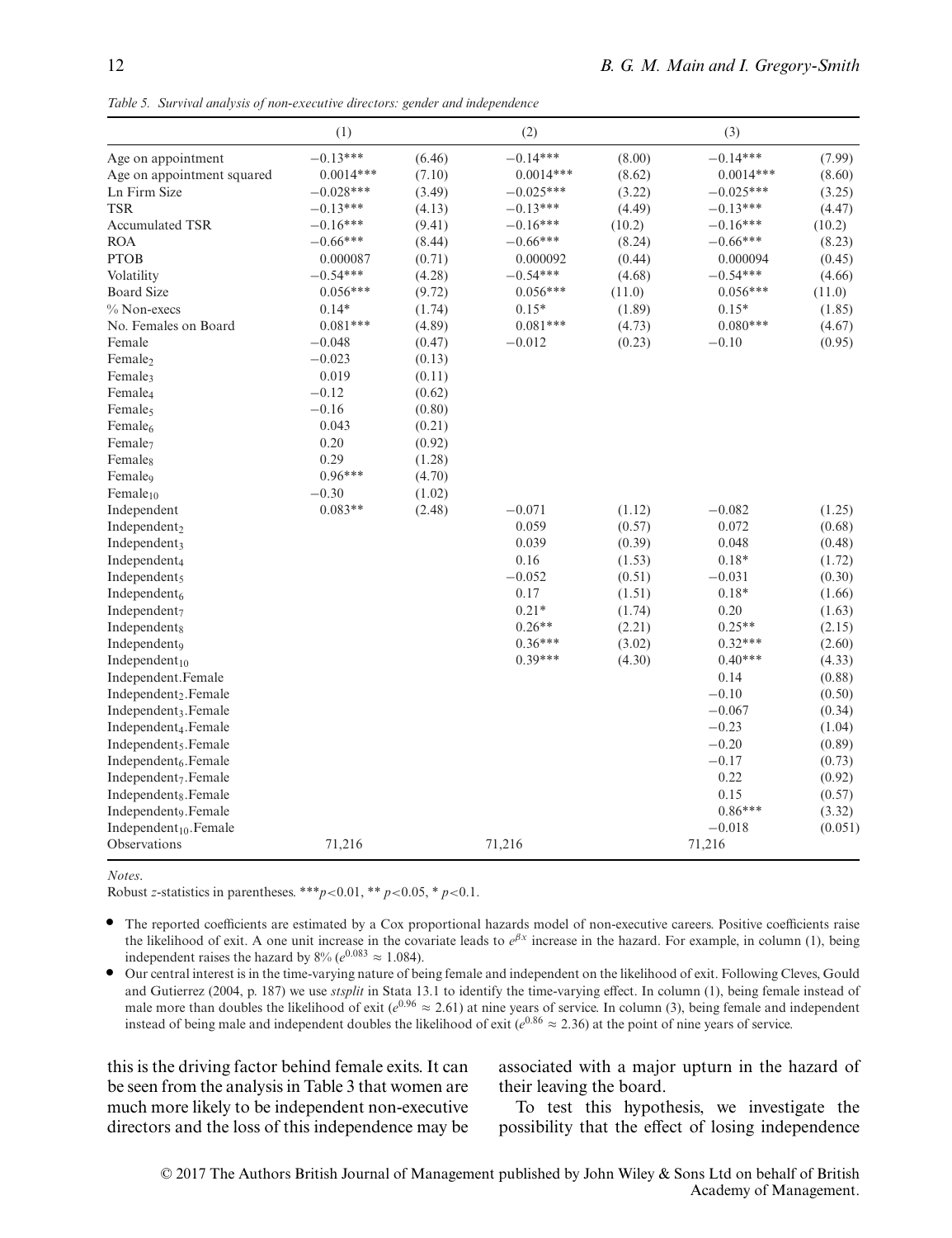*Table 5. Survival analysis of non-executive directors: gender and independence*

|                                    | (1)         |        | (2)         |        | (3)         |         |
|------------------------------------|-------------|--------|-------------|--------|-------------|---------|
| Age on appointment                 | $-0.13***$  | (6.46) | $-0.14***$  | (8.00) | $-0.14***$  | (7.99)  |
| Age on appointment squared         | $0.0014***$ | (7.10) | $0.0014***$ | (8.62) | $0.0014***$ | (8.60)  |
| Ln Firm Size                       | $-0.028***$ | (3.49) | $-0.025***$ | (3.22) | $-0.025***$ | (3.25)  |
| <b>TSR</b>                         | $-0.13***$  | (4.13) | $-0.13***$  | (4.49) | $-0.13***$  | (4.47)  |
| <b>Accumulated TSR</b>             | $-0.16***$  | (9.41) | $-0.16***$  | (10.2) | $-0.16***$  | (10.2)  |
| <b>ROA</b>                         | $-0.66***$  | (8.44) | $-0.66***$  | (8.24) | $-0.66***$  | (8.23)  |
| <b>PTOB</b>                        | 0.000087    | (0.71) | 0.000092    | (0.44) | 0.000094    | (0.45)  |
| Volatility                         | $-0.54***$  | (4.28) | $-0.54***$  | (4.68) | $-0.54***$  | (4.66)  |
| <b>Board Size</b>                  | $0.056***$  | (9.72) | $0.056***$  | (11.0) | $0.056***$  | (11.0)  |
| % Non-execs                        | $0.14*$     | (1.74) | $0.15*$     | (1.89) | $0.15*$     | (1.85)  |
| No. Females on Board               | $0.081***$  | (4.89) | $0.081***$  | (4.73) | $0.080***$  | (4.67)  |
| Female                             | $-0.048$    | (0.47) | $-0.012$    | (0.23) | $-0.10$     | (0.95)  |
| Female <sub>2</sub>                | $-0.023$    | (0.13) |             |        |             |         |
| Female <sub>3</sub>                | 0.019       | (0.11) |             |        |             |         |
| Female <sub>4</sub>                | $-0.12$     | (0.62) |             |        |             |         |
| Female <sub>5</sub>                | $-0.16$     | (0.80) |             |        |             |         |
| Female <sub>6</sub>                | 0.043       | (0.21) |             |        |             |         |
| Female <sub>7</sub>                | 0.20        | (0.92) |             |        |             |         |
| Femaleg                            | 0.29        | (1.28) |             |        |             |         |
| Female <sub>9</sub>                | $0.96***$   | (4.70) |             |        |             |         |
| Female <sub>10</sub>               | $-0.30$     | (1.02) |             |        |             |         |
| Independent                        | $0.083**$   | (2.48) | $-0.071$    | (1.12) | $-0.082$    | (1.25)  |
| Independent <sub>2</sub>           |             |        | 0.059       | (0.57) | 0.072       | (0.68)  |
| Independent <sub>3</sub>           |             |        | 0.039       | (0.39) | 0.048       | (0.48)  |
| Independent <sub>4</sub>           |             |        | 0.16        | (1.53) | $0.18*$     | (1.72)  |
| Independents                       |             |        | $-0.052$    | (0.51) | $-0.031$    | (0.30)  |
| Independent $_6$                   |             |        | 0.17        | (1.51) | $0.18*$     | (1.66)  |
| Independent <sub>7</sub>           |             |        | $0.21*$     | (1.74) | 0.20        | (1.63)  |
| Independents                       |             |        | $0.26**$    | (2.21) | $0.25**$    | (2.15)  |
| Independent <sub>9</sub>           |             |        | $0.36***$   | (3.02) | $0.32***$   | (2.60)  |
| Independent $_{10}$                |             |        | $0.39***$   | (4.30) | $0.40***$   | (4.33)  |
| Independent.Female                 |             |        |             |        | 0.14        | (0.88)  |
| Independent <sub>2</sub> . Female  |             |        |             |        | $-0.10$     | (0.50)  |
| Independent <sub>3</sub> . Female  |             |        |             |        | $-0.067$    | (0.34)  |
| Independent <sub>4</sub> . Female  |             |        |             |        | $-0.23$     | (1.04)  |
| Independent <sub>5</sub> . Female  |             |        |             |        | $-0.20$     | (0.89)  |
| Independent <sub>6</sub> . Female  |             |        |             |        | $-0.17$     | (0.73)  |
| Independent <sub>7</sub> . Female  |             |        |             |        | 0.22        | (0.92)  |
| Independent <sub>8</sub> . Female  |             |        |             |        | 0.15        | (0.57)  |
| Independent <sub>9</sub> . Female  |             |        |             |        | $0.86***$   | (3.32)  |
| Independent <sub>10</sub> . Female |             |        |             |        | $-0.018$    | (0.051) |
| Observations                       | 71,216      |        | 71,216      |        | 71,216      |         |

*Notes*.

Robust *z*-statistics in parentheses. \*\*\* $p$  < 0.01, \*\*  $p$  < 0.05, \*  $p$  < 0.1.

- The reported coefficients are estimated by a Cox proportional hazards model of non-executive careers. Positive coefficients raise the likelihood of exit. A one unit increase in the covariate leads to *e*β*<sup>x</sup>* increase in the hazard. For example, in column (1), being independent raises the hazard by  $8\%$  ( $e^{0.083} \approx 1.084$ ).
- independent raises the hazard by  $8\% (e^{0.083} \approx 1.084)$ .<br>Our central interest is in the time-varying nature of being female and independent on the likelihood of exit. Following Cleves, Gould and Gutierrez (2004, p. 187) we use *stsplit* in Stata 13.1 to identify the time-varying effect. In column (1), being female instead of male more than doubles the likelihood of exit ( $e^{0.96} \approx 2.61$ ) at nine years of service. In column (3), being female and independent instead of being male and independent doubles the likelihood of exit ( $e^{0.86} \approx 2.36$ ) at the point of nine years of service.

this is the driving factor behind female exits. It can be seen from the analysis in Table 3 that women are much more likely to be independent non-executive directors and the loss of this independence may be

associated with a major upturn in the hazard of their leaving the board.

To test this hypothesis, we investigate the possibility that the effect of losing independence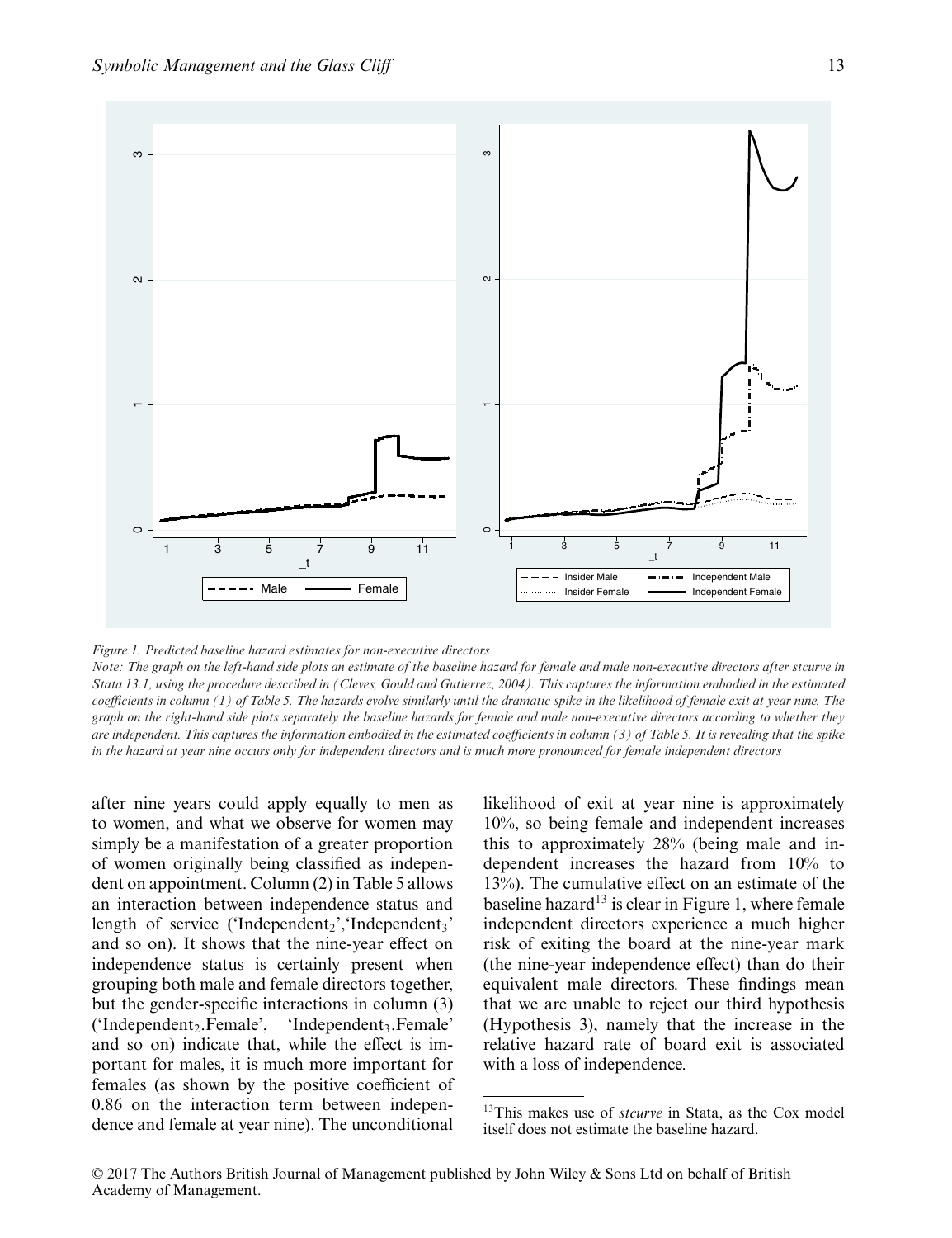

*Figure 1. Predicted baseline hazard estimates for non-executive directors*

*Note: The graph on the left-hand side plots an estimate of the baseline hazard for female and male non-executive directors after stcurve in Stata 13.1, using the procedure described in (Cleves, Gould and Gutierrez, 2004). This captures the information embodied in the estimated coefficients in column (1) of Table 5. The hazards evolve similarly until the dramatic spike in the likelihood of female exit at year nine. The graph on the right-hand side plots separately the baseline hazards for female and male non-executive directors according to whether they are independent. This captures the information embodied in the estimated coefficients in column (3) of Table 5. It is revealing that the spike in the hazard at year nine occurs only for independent directors and is much more pronounced for female independent directors*

after nine years could apply equally to men as to women, and what we observe for women may simply be a manifestation of a greater proportion of women originally being classified as independent on appointment. Column (2) in Table 5 allows an interaction between independence status and length of service ('Independent<sub>2</sub>', 'Independent<sub>3</sub>' and so on). It shows that the nine-year effect on independence status is certainly present when grouping both male and female directors together, but the gender-specific interactions in column (3)  $('Independent<sub>2</sub>.Female', 'Independent<sub>3</sub>.Female')$ and so on) indicate that, while the effect is important for males, it is much more important for females (as shown by the positive coefficient of 0.86 on the interaction term between independence and female at year nine). The unconditional likelihood of exit at year nine is approximately 10%, so being female and independent increases this to approximately 28% (being male and independent increases the hazard from 10% to 13%). The cumulative effect on an estimate of the baseline hazard<sup>13</sup> is clear in Figure 1, where female independent directors experience a much higher risk of exiting the board at the nine-year mark (the nine-year independence effect) than do their equivalent male directors. These findings mean that we are unable to reject our third hypothesis (Hypothesis 3), namely that the increase in the relative hazard rate of board exit is associated with a loss of independence.

<sup>13</sup>This makes use of *stcurve* in Stata, as the Cox model itself does not estimate the baseline hazard.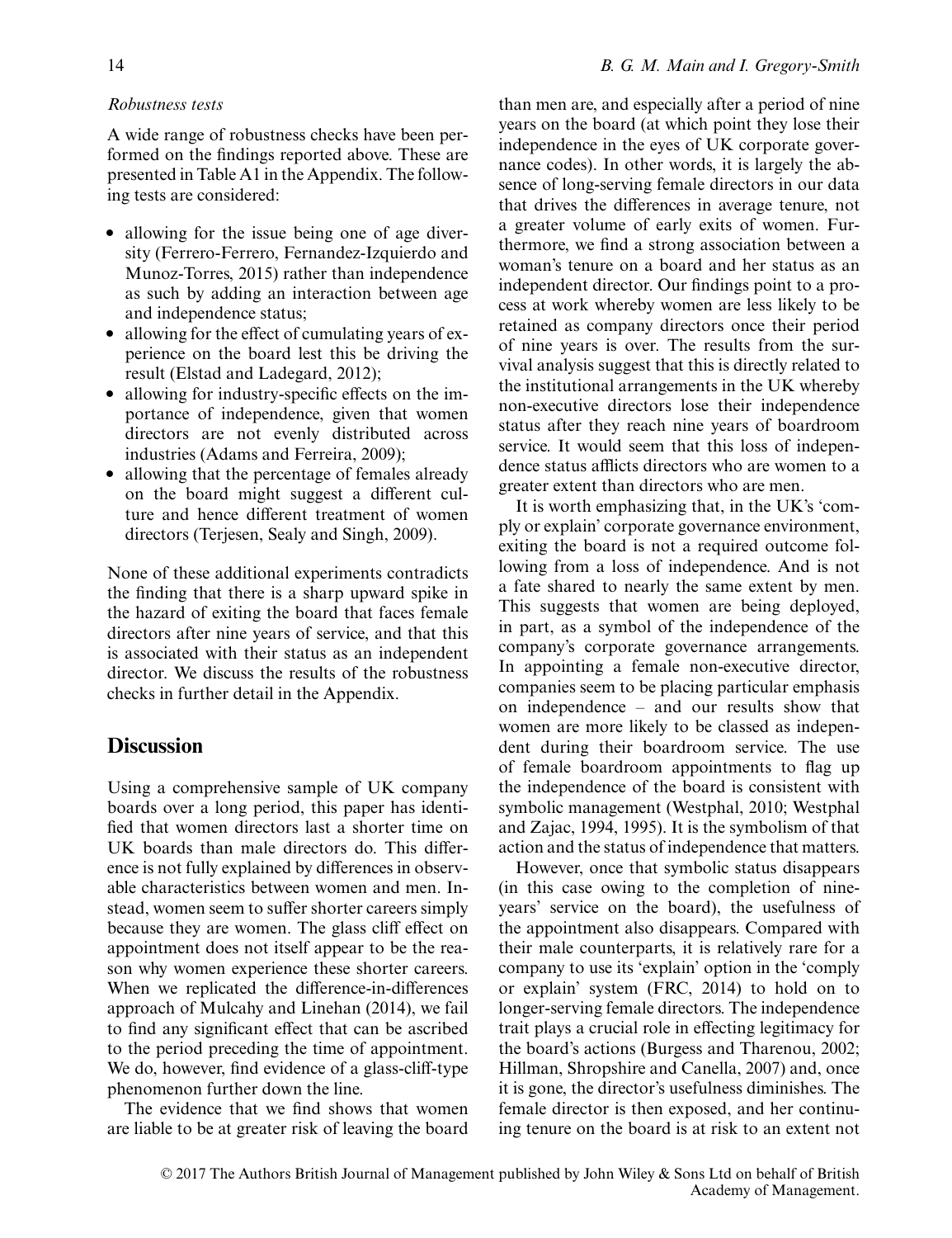## *Robustness tests*

A wide range of robustness checks have been performed on the findings reported above. These are presented in Table A1 in the Appendix. The following tests are considered:

- allowing for the issue being one of age diversity (Ferrero-Ferrero, Fernandez-Izquierdo and Munoz-Torres, 2015) rather than independence as such by adding an interaction between age
- and independence status;<br>• allowing for the effect of cumulating years of experience on the board lest this be driving the result (Elstad and Ladegard, 2012);
- result (Elstad and Ladegard, 2012);<br>• allowing for industry-specific effects on the importance of independence, given that women directors are not evenly distributed across<br>industries (Adams and Ferreira, 2009);
- industries (Adams and Ferreira, 2009);<br>• allowing that the percentage of females already on the board might suggest a different culture and hence different treatment of women directors (Terjesen, Sealy and Singh, 2009).

None of these additional experiments contradicts the finding that there is a sharp upward spike in the hazard of exiting the board that faces female directors after nine years of service, and that this is associated with their status as an independent director. We discuss the results of the robustness checks in further detail in the Appendix.

## **Discussion**

Using a comprehensive sample of UK company boards over a long period, this paper has identified that women directors last a shorter time on UK boards than male directors do. This difference is not fully explained by differences in observable characteristics between women and men. Instead, women seem to suffer shorter careers simply because they are women. The glass cliff effect on appointment does not itself appear to be the reason why women experience these shorter careers. When we replicated the difference-in-differences approach of Mulcahy and Linehan (2014), we fail to find any significant effect that can be ascribed to the period preceding the time of appointment. We do, however, find evidence of a glass-cliff-type phenomenon further down the line.

The evidence that we find shows that women are liable to be at greater risk of leaving the board

than men are, and especially after a period of nine years on the board (at which point they lose their independence in the eyes of UK corporate governance codes). In other words, it is largely the absence of long-serving female directors in our data that drives the differences in average tenure, not a greater volume of early exits of women. Furthermore, we find a strong association between a woman's tenure on a board and her status as an independent director. Our findings point to a process at work whereby women are less likely to be retained as company directors once their period of nine years is over. The results from the survival analysis suggest that this is directly related to the institutional arrangements in the UK whereby non-executive directors lose their independence status after they reach nine years of boardroom service. It would seem that this loss of independence status afflicts directors who are women to a greater extent than directors who are men.

It is worth emphasizing that, in the UK's 'comply or explain' corporate governance environment, exiting the board is not a required outcome following from a loss of independence. And is not a fate shared to nearly the same extent by men. This suggests that women are being deployed, in part, as a symbol of the independence of the company's corporate governance arrangements. In appointing a female non-executive director, companies seem to be placing particular emphasis on independence – and our results show that women are more likely to be classed as independent during their boardroom service. The use of female boardroom appointments to flag up the independence of the board is consistent with symbolic management (Westphal, 2010; Westphal and Zajac, 1994, 1995). It is the symbolism of that action and the status of independence that matters.

However, once that symbolic status disappears (in this case owing to the completion of nineyears' service on the board), the usefulness of the appointment also disappears. Compared with their male counterparts, it is relatively rare for a company to use its 'explain' option in the 'comply or explain' system (FRC, 2014) to hold on to longer-serving female directors. The independence trait plays a crucial role in effecting legitimacy for the board's actions (Burgess and Tharenou, 2002; Hillman, Shropshire and Canella, 2007) and, once it is gone, the director's usefulness diminishes. The female director is then exposed, and her continuing tenure on the board is at risk to an extent not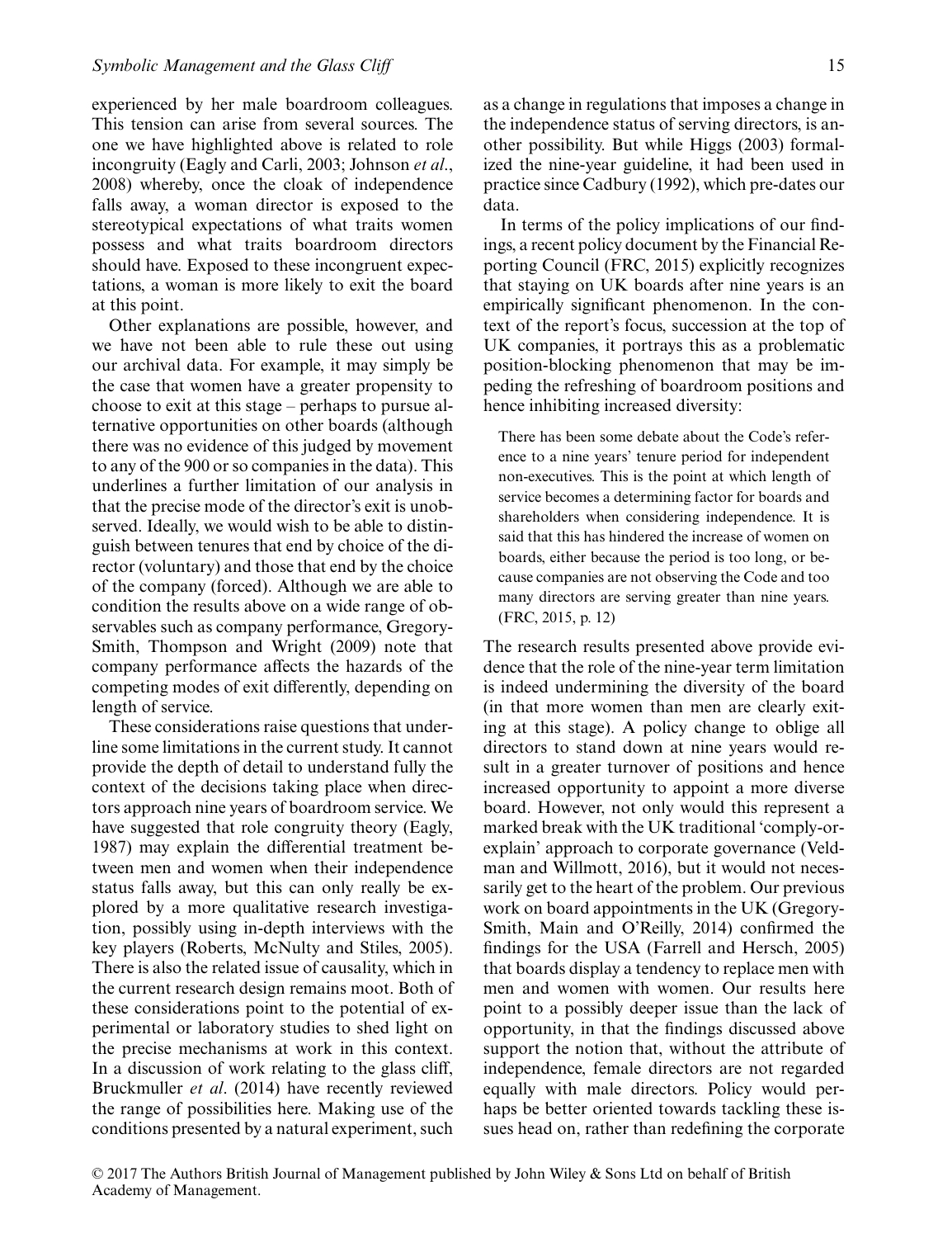experienced by her male boardroom colleagues. This tension can arise from several sources. The one we have highlighted above is related to role incongruity (Eagly and Carli, 2003; Johnson *et al*., 2008) whereby, once the cloak of independence falls away, a woman director is exposed to the stereotypical expectations of what traits women possess and what traits boardroom directors should have. Exposed to these incongruent expectations, a woman is more likely to exit the board at this point.

Other explanations are possible, however, and we have not been able to rule these out using our archival data. For example, it may simply be the case that women have a greater propensity to choose to exit at this stage – perhaps to pursue alternative opportunities on other boards (although there was no evidence of this judged by movement to any of the 900 or so companies in the data). This underlines a further limitation of our analysis in that the precise mode of the director's exit is unobserved. Ideally, we would wish to be able to distinguish between tenures that end by choice of the director (voluntary) and those that end by the choice of the company (forced). Although we are able to condition the results above on a wide range of observables such as company performance, Gregory-Smith, Thompson and Wright (2009) note that company performance affects the hazards of the competing modes of exit differently, depending on length of service.

These considerations raise questions that underline some limitations in the current study. It cannot provide the depth of detail to understand fully the context of the decisions taking place when directors approach nine years of boardroom service. We have suggested that role congruity theory (Eagly, 1987) may explain the differential treatment between men and women when their independence status falls away, but this can only really be explored by a more qualitative research investigation, possibly using in-depth interviews with the key players (Roberts, McNulty and Stiles, 2005). There is also the related issue of causality, which in the current research design remains moot. Both of these considerations point to the potential of experimental or laboratory studies to shed light on the precise mechanisms at work in this context. In a discussion of work relating to the glass cliff, Bruckmuller *et al*. (2014) have recently reviewed the range of possibilities here. Making use of the conditions presented by a natural experiment, such as a change in regulations that imposes a change in the independence status of serving directors, is another possibility. But while Higgs (2003) formalized the nine-year guideline, it had been used in practice since Cadbury (1992), which pre-dates our data.

In terms of the policy implications of our findings, a recent policy document by the Financial Reporting Council (FRC, 2015) explicitly recognizes that staying on UK boards after nine years is an empirically significant phenomenon. In the context of the report's focus, succession at the top of UK companies, it portrays this as a problematic position-blocking phenomenon that may be impeding the refreshing of boardroom positions and hence inhibiting increased diversity:

There has been some debate about the Code's reference to a nine years' tenure period for independent non-executives. This is the point at which length of service becomes a determining factor for boards and shareholders when considering independence. It is said that this has hindered the increase of women on boards, either because the period is too long, or because companies are not observing the Code and too many directors are serving greater than nine years. (FRC, 2015, p. 12)

The research results presented above provide evidence that the role of the nine-year term limitation is indeed undermining the diversity of the board (in that more women than men are clearly exiting at this stage). A policy change to oblige all directors to stand down at nine years would result in a greater turnover of positions and hence increased opportunity to appoint a more diverse board. However, not only would this represent a marked break with the UK traditional 'comply-orexplain' approach to corporate governance (Veldman and Willmott, 2016), but it would not necessarily get to the heart of the problem. Our previous work on board appointments in the UK (Gregory-Smith, Main and O'Reilly, 2014) confirmed the findings for the USA (Farrell and Hersch, 2005) that boards display a tendency to replace men with men and women with women. Our results here point to a possibly deeper issue than the lack of opportunity, in that the findings discussed above support the notion that, without the attribute of independence, female directors are not regarded equally with male directors. Policy would perhaps be better oriented towards tackling these issues head on, rather than redefining the corporate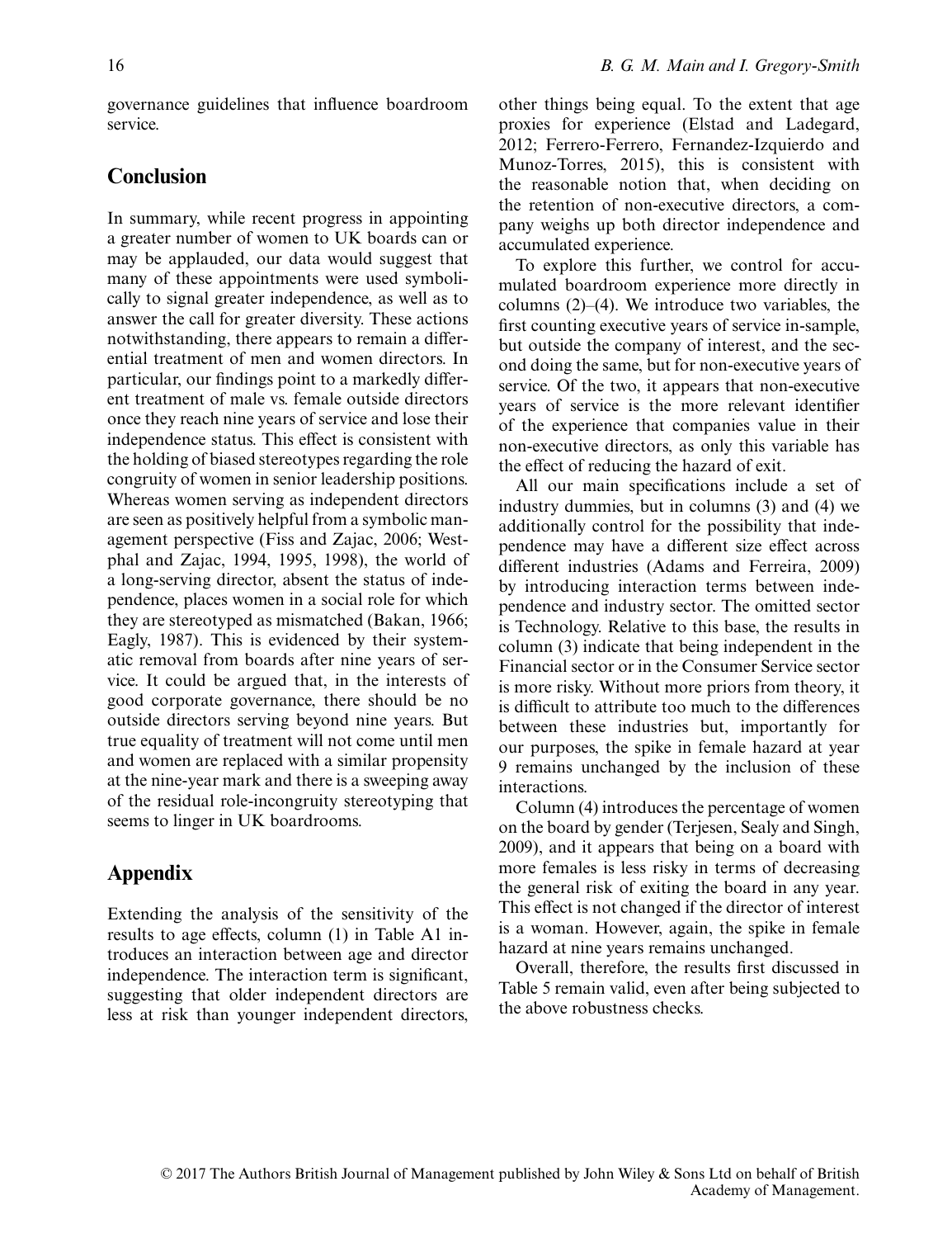governance guidelines that influence boardroom service.

## **Conclusion**

In summary, while recent progress in appointing a greater number of women to UK boards can or may be applauded, our data would suggest that many of these appointments were used symbolically to signal greater independence, as well as to answer the call for greater diversity. These actions notwithstanding, there appears to remain a differential treatment of men and women directors. In particular, our findings point to a markedly different treatment of male vs. female outside directors once they reach nine years of service and lose their independence status. This effect is consistent with the holding of biased stereotypes regarding the role congruity of women in senior leadership positions. Whereas women serving as independent directors are seen as positively helpful from a symbolic management perspective (Fiss and Zajac, 2006; Westphal and Zajac, 1994, 1995, 1998), the world of a long-serving director, absent the status of independence, places women in a social role for which they are stereotyped as mismatched (Bakan, 1966; Eagly, 1987). This is evidenced by their systematic removal from boards after nine years of service. It could be argued that, in the interests of good corporate governance, there should be no outside directors serving beyond nine years. But true equality of treatment will not come until men and women are replaced with a similar propensity at the nine-year mark and there is a sweeping away of the residual role-incongruity stereotyping that seems to linger in UK boardrooms.

## **Appendix**

Extending the analysis of the sensitivity of the results to age effects, column (1) in Table A1 introduces an interaction between age and director independence. The interaction term is significant, suggesting that older independent directors are less at risk than younger independent directors, other things being equal. To the extent that age proxies for experience (Elstad and Ladegard, 2012; Ferrero-Ferrero, Fernandez-Izquierdo and Munoz-Torres, 2015), this is consistent with the reasonable notion that, when deciding on the retention of non-executive directors, a company weighs up both director independence and accumulated experience.

To explore this further, we control for accumulated boardroom experience more directly in columns (2)–(4). We introduce two variables, the first counting executive years of service in-sample, but outside the company of interest, and the second doing the same, but for non-executive years of service. Of the two, it appears that non-executive years of service is the more relevant identifier of the experience that companies value in their non-executive directors, as only this variable has the effect of reducing the hazard of exit.

All our main specifications include a set of industry dummies, but in columns (3) and (4) we additionally control for the possibility that independence may have a different size effect across different industries (Adams and Ferreira, 2009) by introducing interaction terms between independence and industry sector. The omitted sector is Technology. Relative to this base, the results in column (3) indicate that being independent in the Financial sector or in the Consumer Service sector is more risky. Without more priors from theory, it is difficult to attribute too much to the differences between these industries but, importantly for our purposes, the spike in female hazard at year 9 remains unchanged by the inclusion of these interactions.

Column (4) introduces the percentage of women on the board by gender (Terjesen, Sealy and Singh, 2009), and it appears that being on a board with more females is less risky in terms of decreasing the general risk of exiting the board in any year. This effect is not changed if the director of interest is a woman. However, again, the spike in female hazard at nine years remains unchanged.

Overall, therefore, the results first discussed in Table 5 remain valid, even after being subjected to the above robustness checks.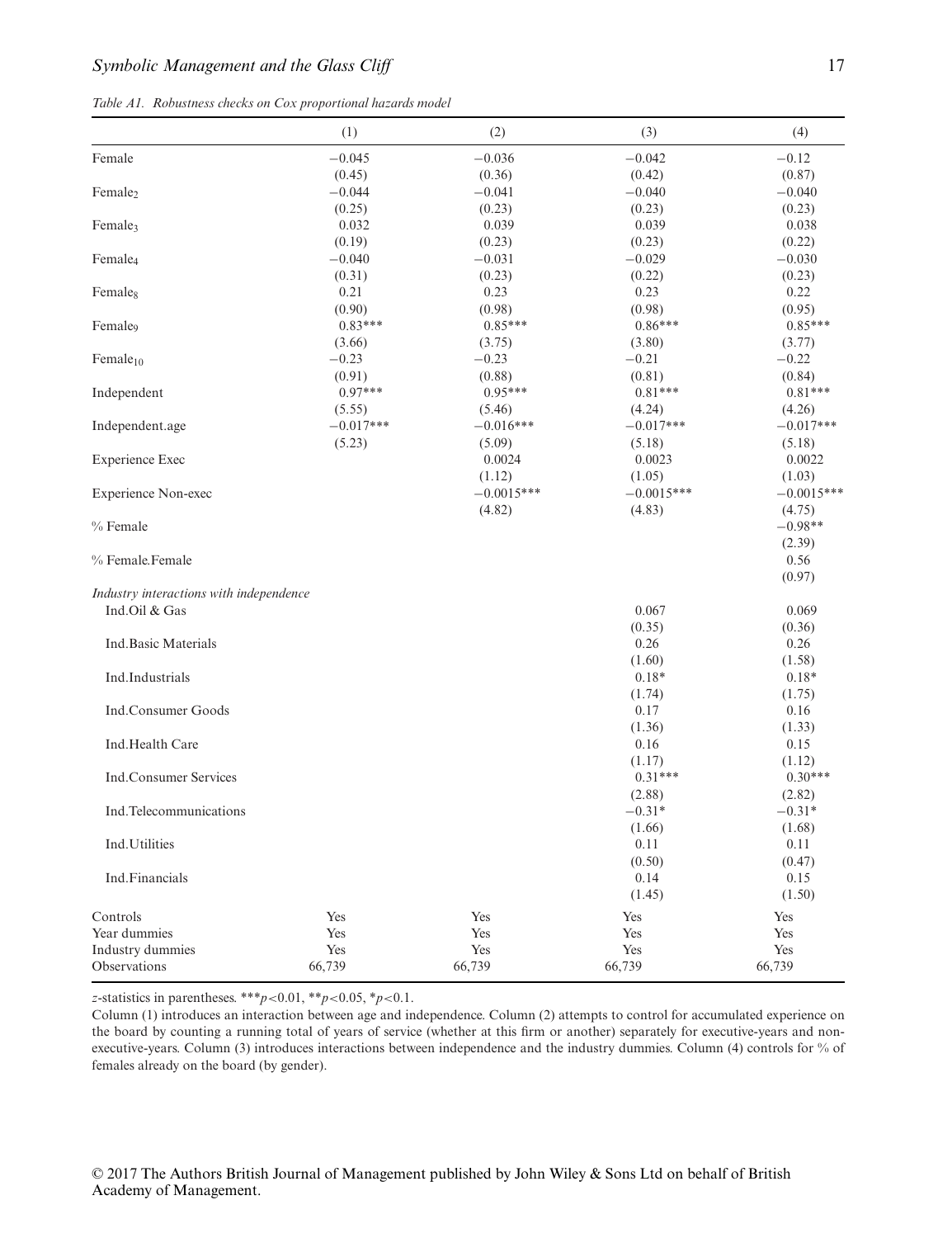*Table A1. Robustness checks on Cox proportional hazards model*

|                                         | (1)         | (2)          | (3)          | (4)          |
|-----------------------------------------|-------------|--------------|--------------|--------------|
| Female                                  | $-0.045$    | $-0.036$     | $-0.042$     | $-0.12$      |
|                                         | (0.45)      | (0.36)       | (0.42)       | (0.87)       |
| Female <sub>2</sub>                     | $-0.044$    | $-0.041$     | $-0.040$     | $-0.040$     |
|                                         | (0.25)      | (0.23)       | (0.23)       | (0.23)       |
| Female <sub>3</sub>                     | 0.032       | 0.039        | 0.039        | 0.038        |
|                                         | (0.19)      | (0.23)       | (0.23)       | (0.22)       |
| Female <sub>4</sub>                     | $-0.040$    | $-0.031$     | $-0.029$     | $-0.030$     |
|                                         | (0.31)      | (0.23)       | (0.22)       | (0.23)       |
| Females                                 | 0.21        | 0.23         | 0.23         | 0.22         |
|                                         | (0.90)      | (0.98)       | (0.98)       | (0.95)       |
| Female <sub>9</sub>                     | $0.83***$   | $0.85***$    | $0.86***$    | $0.85***$    |
|                                         | (3.66)      | (3.75)       | (3.80)       | (3.77)       |
| Female <sub>10</sub>                    | $-0.23$     | $-0.23$      | $-0.21$      | $-0.22$      |
|                                         | (0.91)      | (0.88)       | (0.81)       | (0.84)       |
| Independent                             | $0.97***$   | $0.95***$    | $0.81***$    | $0.81***$    |
|                                         | (5.55)      | (5.46)       | (4.24)       | (4.26)       |
| Independent.age                         | $-0.017***$ | $-0.016***$  | $-0.017***$  | $-0.017***$  |
|                                         | (5.23)      | (5.09)       | (5.18)       | (5.18)       |
| <b>Experience Exec</b>                  |             | 0.0024       | 0.0023       | 0.0022       |
|                                         |             | (1.12)       | (1.05)       | (1.03)       |
| <b>Experience Non-exec</b>              |             | $-0.0015***$ | $-0.0015***$ | $-0.0015***$ |
|                                         |             | (4.82)       | (4.83)       | (4.75)       |
| % Female                                |             |              |              | $-0.98**$    |
|                                         |             |              |              | (2.39)       |
| % Female.Female                         |             |              |              | 0.56         |
|                                         |             |              |              | (0.97)       |
| Industry interactions with independence |             |              |              |              |
| Ind.Oil & Gas                           |             |              | 0.067        | 0.069        |
|                                         |             |              | (0.35)       | (0.36)       |
| Ind.Basic Materials                     |             |              | 0.26         | 0.26         |
|                                         |             |              | (1.60)       | (1.58)       |
| Ind.Industrials                         |             |              | $0.18*$      | $0.18*$      |
|                                         |             |              | (1.74)       | (1.75)       |
| <b>Ind.Consumer Goods</b>               |             |              | 0.17         | 0.16         |
|                                         |             |              | (1.36)       | (1.33)       |
| Ind.Health Care                         |             |              | 0.16         | 0.15         |
|                                         |             |              | (1.17)       | (1.12)       |
| <b>Ind.Consumer Services</b>            |             |              | $0.31***$    | $0.30***$    |
|                                         |             |              | (2.88)       | (2.82)       |
| Ind.Telecommunications                  |             |              | $-0.31*$     | $-0.31*$     |
|                                         |             |              | (1.66)       | (1.68)       |
| Ind. Utilities                          |             |              | 0.11         | 0.11         |
|                                         |             |              | (0.50)       | (0.47)       |
| Ind.Financials                          |             |              | 0.14         | 0.15         |
|                                         |             |              | (1.45)       | (1.50)       |
| Controls                                | Yes         | Yes          | Yes          | Yes          |
| Year dummies                            | Yes         | Yes          | Yes          | Yes          |
| Industry dummies                        | Yes         | Yes          | Yes          | Yes          |
| Observations                            | 66,739      | 66,739       | 66,739       | 66,739       |

*z*-statistics in parentheses. \*\*\**p*<0.01, \*\**p*<0.05, \**p*<0.1.

Column (1) introduces an interaction between age and independence. Column (2) attempts to control for accumulated experience on the board by counting a running total of years of service (whether at this firm or another) separately for executive-years and nonexecutive-years. Column (3) introduces interactions between independence and the industry dummies. Column (4) controls for % of females already on the board (by gender).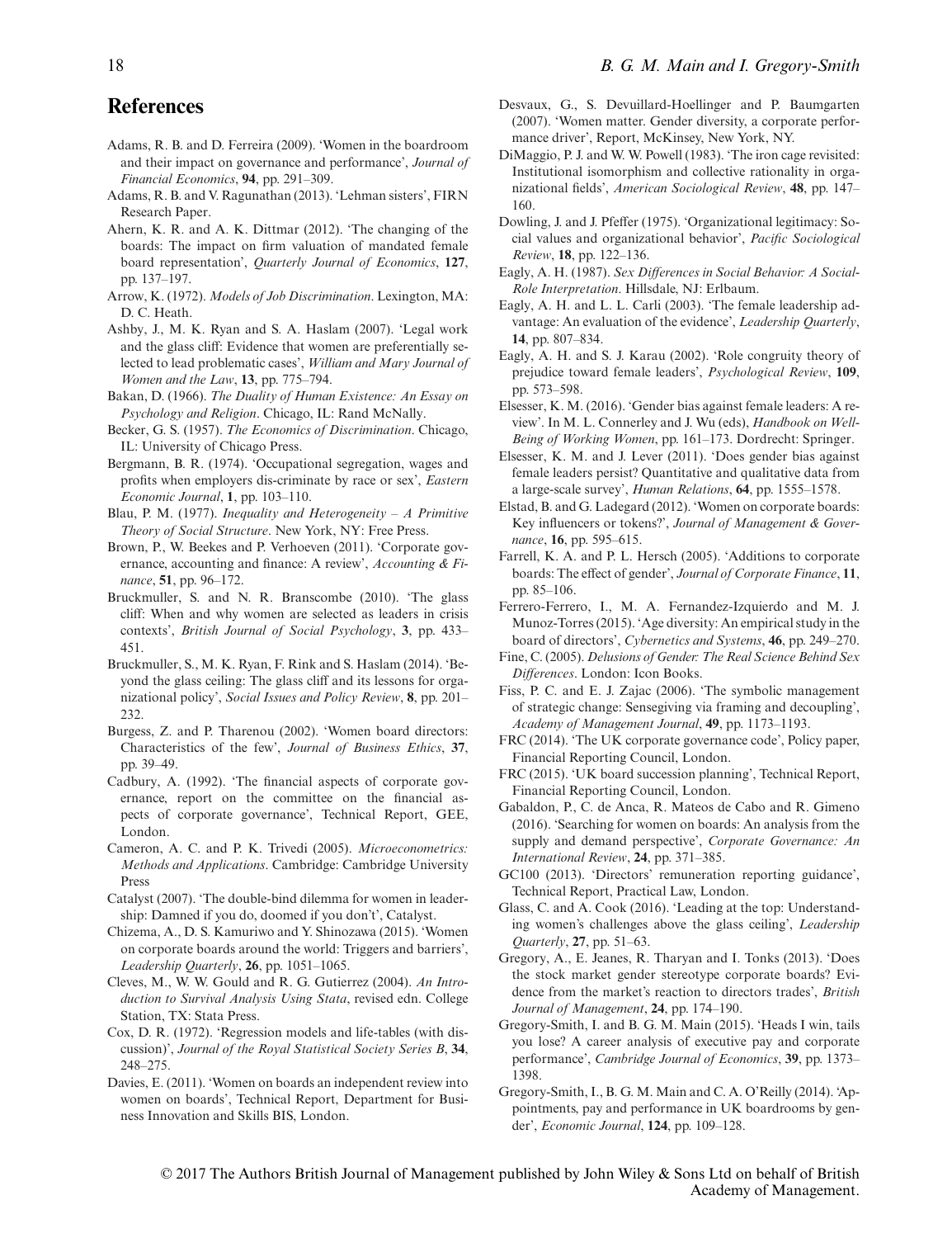## **References**

- Adams, R. B. and D. Ferreira (2009). 'Women in the boardroom and their impact on governance and performance', *Journal of Financial Economics*, **94**, pp. 291–309.
- Adams, R. B. and V. Ragunathan (2013). 'Lehman sisters', FIRN Research Paper.
- Ahern, K. R. and A. K. Dittmar (2012). 'The changing of the boards: The impact on firm valuation of mandated female board representation', *Quarterly Journal of Economics*, **127**, pp. 137–197.
- Arrow, K. (1972). *Models of Job Discrimination*. Lexington, MA: D. C. Heath.
- Ashby, J., M. K. Ryan and S. A. Haslam (2007). 'Legal work and the glass cliff: Evidence that women are preferentially selected to lead problematic cases', *William and Mary Journal of Women and the Law*, **13**, pp. 775–794.
- Bakan, D. (1966). *The Duality of Human Existence: An Essay on Psychology and Religion*. Chicago, IL: Rand McNally.
- Becker, G. S. (1957). *The Economics of Discrimination*. Chicago, IL: University of Chicago Press.
- Bergmann, B. R. (1974). 'Occupational segregation, wages and profits when employers dis-criminate by race or sex', *Eastern Economic Journal*, **1**, pp. 103–110.
- Blau, P. M. (1977). *Inequality and Heterogeneity A Primitive Theory of Social Structure*. New York, NY: Free Press.
- Brown, P., W. Beekes and P. Verhoeven (2011). 'Corporate governance, accounting and finance: A review', *Accounting & Finance*, **51**, pp. 96–172.
- Bruckmuller, S. and N. R. Branscombe (2010). 'The glass cliff: When and why women are selected as leaders in crisis contexts', *British Journal of Social Psychology*, **3**, pp. 433– 451.
- Bruckmuller, S., M. K. Ryan, F. Rink and S. Haslam (2014). 'Beyond the glass ceiling: The glass cliff and its lessons for organizational policy', *Social Issues and Policy Review*, **8**, pp. 201– 232.
- Burgess, Z. and P. Tharenou (2002). 'Women board directors: Characteristics of the few', *Journal of Business Ethics*, **37**, pp. 39–49.
- Cadbury, A. (1992). 'The financial aspects of corporate governance, report on the committee on the financial aspects of corporate governance', Technical Report, GEE, London.
- Cameron, A. C. and P. K. Trivedi (2005). *Microeconometrics: Methods and Applications*. Cambridge: Cambridge University Press
- Catalyst (2007). 'The double-bind dilemma for women in leadership: Damned if you do, doomed if you don't', Catalyst.
- Chizema, A., D. S. Kamuriwo and Y. Shinozawa (2015). 'Women on corporate boards around the world: Triggers and barriers', *Leadership Quarterly*, **26**, pp. 1051–1065.
- Cleves, M., W. W. Gould and R. G. Gutierrez (2004). *An Introduction to Survival Analysis Using Stata*, revised edn. College Station, TX: Stata Press.
- Cox, D. R. (1972). 'Regression models and life-tables (with discussion)', *Journal of the Royal Statistical Society Series B*, **34**, 248–275.
- Davies, E. (2011). 'Women on boards an independent review into women on boards', Technical Report, Department for Business Innovation and Skills BIS, London.
- Desvaux, G., S. Devuillard-Hoellinger and P. Baumgarten (2007). 'Women matter. Gender diversity, a corporate performance driver', Report, McKinsey, New York, NY.
- DiMaggio, P. J. and W. W. Powell (1983). 'The iron cage revisited: Institutional isomorphism and collective rationality in organizational fields', *American Sociological Review*, **48**, pp. 147– 160.
- Dowling, J. and J. Pfeffer (1975). 'Organizational legitimacy: Social values and organizational behavior', *Pacific Sociological Review*, **18**, pp. 122–136.
- Eagly, A. H. (1987). *Sex Differences in Social Behavior: A Social-Role Interpretation*. Hillsdale, NJ: Erlbaum.
- Eagly, A. H. and L. L. Carli (2003). 'The female leadership advantage: An evaluation of the evidence', *Leadership Quarterly*, **14**, pp. 807–834.
- Eagly, A. H. and S. J. Karau (2002). 'Role congruity theory of prejudice toward female leaders', *Psychological Review*, **109**, pp. 573–598.
- Elsesser, K. M. (2016). 'Gender bias against female leaders: A review'. In M. L. Connerley and J. Wu (eds), *Handbook on Well-Being of Working Women*, pp. 161–173. Dordrecht: Springer.
- Elsesser, K. M. and J. Lever (2011). 'Does gender bias against female leaders persist? Quantitative and qualitative data from a large-scale survey', *Human Relations*, **64**, pp. 1555–1578.
- Elstad, B. and G. Ladegard (2012). 'Women on corporate boards: Key influencers or tokens?', *Journal of Management & Governance*, **16**, pp. 595–615.
- Farrell, K. A. and P. L. Hersch (2005). 'Additions to corporate boards: The effect of gender', *Journal of Corporate Finance*, **11**, pp. 85–106.
- Ferrero-Ferrero, I., M. A. Fernandez-Izquierdo and M. J. Munoz-Torres (2015). 'Age diversity: An empirical study in the board of directors', *Cybernetics and Systems*, **46**, pp. 249–270.
- Fine, C. (2005). *Delusions of Gender: The Real Science Behind Sex Differences*. London: Icon Books.
- Fiss, P. C. and E. J. Zajac (2006). 'The symbolic management of strategic change: Sensegiving via framing and decoupling', *Academy of Management Journal*, **49**, pp. 1173–1193.
- FRC (2014). 'The UK corporate governance code', Policy paper, Financial Reporting Council, London.
- FRC (2015). 'UK board succession planning', Technical Report, Financial Reporting Council, London.
- Gabaldon, P., C. de Anca, R. Mateos de Cabo and R. Gimeno (2016). 'Searching for women on boards: An analysis from the supply and demand perspective', *Corporate Governance: An International Review*, **24**, pp. 371–385.
- GC100 (2013). 'Directors' remuneration reporting guidance', Technical Report, Practical Law, London.
- Glass, C. and A. Cook (2016). 'Leading at the top: Understanding women's challenges above the glass ceiling', *Leadership Quarterly*, **27**, pp. 51–63.
- Gregory, A., E. Jeanes, R. Tharyan and I. Tonks (2013). 'Does the stock market gender stereotype corporate boards? Evidence from the market's reaction to directors trades', *British Journal of Management*, **24**, pp. 174–190.
- Gregory-Smith, I. and B. G. M. Main (2015). 'Heads I win, tails you lose? A career analysis of executive pay and corporate performance', *Cambridge Journal of Economics*, **39**, pp. 1373– 1398.
- Gregory-Smith, I., B. G. M. Main and C. A. O'Reilly (2014). 'Appointments, pay and performance in UK boardrooms by gender', *Economic Journal*, **124**, pp. 109–128.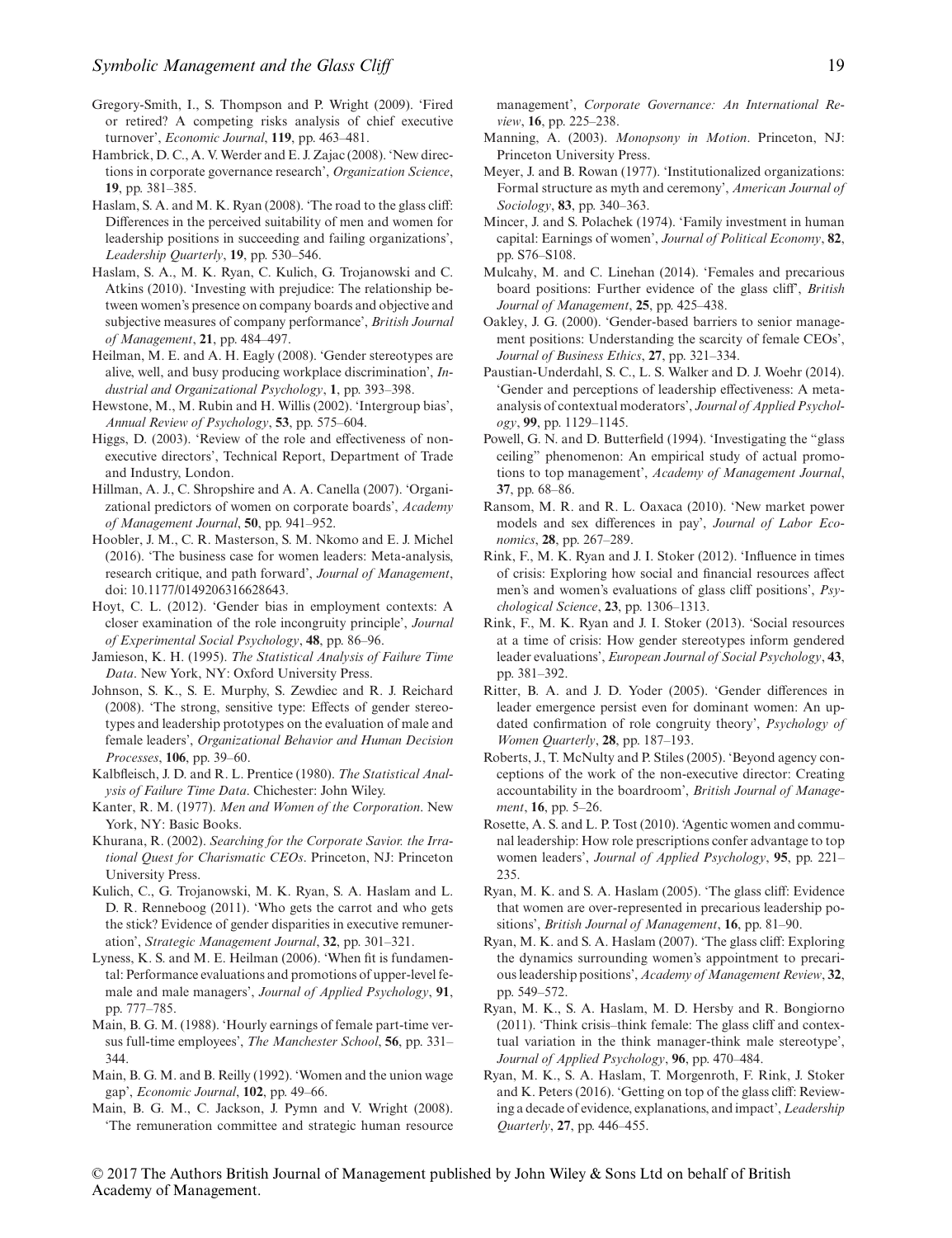- Gregory-Smith, I., S. Thompson and P. Wright (2009). 'Fired or retired? A competing risks analysis of chief executive turnover', *Economic Journal*, **119**, pp. 463–481.
- Hambrick, D. C., A. V. Werder and E. J. Zajac (2008). 'New directions in corporate governance research', *Organization Science*, **19**, pp. 381–385.
- Haslam, S. A. and M. K. Ryan (2008). 'The road to the glass cliff: Differences in the perceived suitability of men and women for leadership positions in succeeding and failing organizations', *Leadership Quarterly*, **19**, pp. 530–546.
- Haslam, S. A., M. K. Ryan, C. Kulich, G. Trojanowski and C. Atkins (2010). 'Investing with prejudice: The relationship between women's presence on company boards and objective and subjective measures of company performance', *British Journal of Management*, **21**, pp. 484–497.
- Heilman, M. E. and A. H. Eagly (2008). 'Gender stereotypes are alive, well, and busy producing workplace discrimination', *Industrial and Organizational Psychology*, **1**, pp. 393–398.
- Hewstone, M., M. Rubin and H. Willis (2002). 'Intergroup bias', *Annual Review of Psychology*, **53**, pp. 575–604.
- Higgs, D. (2003). 'Review of the role and effectiveness of nonexecutive directors', Technical Report, Department of Trade and Industry, London.
- Hillman, A. J., C. Shropshire and A. A. Canella (2007). 'Organizational predictors of women on corporate boards', *Academy of Management Journal*, **50**, pp. 941–952.
- Hoobler, J. M., C. R. Masterson, S. M. Nkomo and E. J. Michel (2016). 'The business case for women leaders: Meta-analysis, research critique, and path forward', *Journal of Management*, doi: [10.1177/0149206316628643.](https://doi.org/10.1177/0149206316628643)
- Hoyt, C. L. (2012). 'Gender bias in employment contexts: A closer examination of the role incongruity principle', *Journal of Experimental Social Psychology*, **48**, pp. 86–96.
- Jamieson, K. H. (1995). *The Statistical Analysis of Failure Time Data*. New York, NY: Oxford University Press.
- Johnson, S. K., S. E. Murphy, S. Zewdiec and R. J. Reichard (2008). 'The strong, sensitive type: Effects of gender stereotypes and leadership prototypes on the evaluation of male and female leaders', *Organizational Behavior and Human Decision Processes*, **106**, pp. 39–60.
- Kalbfleisch, J. D. and R. L. Prentice (1980). *The Statistical Analysis of Failure Time Data*. Chichester: John Wiley.
- Kanter, R. M. (1977). *Men and Women of the Corporation*. New York, NY: Basic Books.
- Khurana, R. (2002). *Searching for the Corporate Savior. the Irrational Quest for Charismatic CEOs*. Princeton, NJ: Princeton University Press.
- Kulich, C., G. Trojanowski, M. K. Ryan, S. A. Haslam and L. D. R. Renneboog (2011). 'Who gets the carrot and who gets the stick? Evidence of gender disparities in executive remuneration', *Strategic Management Journal*, **32**, pp. 301–321.
- Lyness, K. S. and M. E. Heilman (2006). 'When fit is fundamental: Performance evaluations and promotions of upper-level female and male managers', *Journal of Applied Psychology*, **91**, pp. 777–785.
- Main, B. G. M. (1988). 'Hourly earnings of female part-time versus full-time employees', *The Manchester School*, **56**, pp. 331– 344.
- Main, B. G. M. and B. Reilly (1992). 'Women and the union wage gap', *Economic Journal*, **102**, pp. 49–66.
- Main, B. G. M., C. Jackson, J. Pymn and V. Wright (2008). 'The remuneration committee and strategic human resource

management', *Corporate Governance: An International Review*, **16**, pp. 225–238.

- Manning, A. (2003). *Monopsony in Motion*. Princeton, NJ: Princeton University Press.
- Meyer, J. and B. Rowan (1977). 'Institutionalized organizations: Formal structure as myth and ceremony', *American Journal of Sociology*, **83**, pp. 340–363.
- Mincer, J. and S. Polachek (1974). 'Family investment in human capital: Earnings of women', *Journal of Political Economy*, **82**, pp. S76–S108.
- Mulcahy, M. and C. Linehan (2014). 'Females and precarious board positions: Further evidence of the glass cliff', *British Journal of Management*, **25**, pp. 425–438.
- Oakley, J. G. (2000). 'Gender-based barriers to senior management positions: Understanding the scarcity of female CEOs', *Journal of Business Ethics*, **27**, pp. 321–334.
- Paustian-Underdahl, S. C., L. S. Walker and D. J. Woehr (2014). 'Gender and perceptions of leadership effectiveness: A metaanalysis of contextual moderators', *Journal of Applied Psychology*, **99**, pp. 1129–1145.
- Powell, G. N. and D. Butterfield (1994). 'Investigating the "glass ceiling" phenomenon: An empirical study of actual promotions to top management', *Academy of Management Journal*, **37**, pp. 68–86.
- Ransom, M. R. and R. L. Oaxaca (2010). 'New market power models and sex differences in pay', *Journal of Labor Economics*, **28**, pp. 267–289.
- Rink, F., M. K. Ryan and J. I. Stoker (2012). 'Influence in times of crisis: Exploring how social and financial resources affect men's and women's evaluations of glass cliff positions', *Psychological Science*, **23**, pp. 1306–1313.
- Rink, F., M. K. Ryan and J. I. Stoker (2013). 'Social resources at a time of crisis: How gender stereotypes inform gendered leader evaluations', *European Journal of Social Psychology*, **43**, pp. 381–392.
- Ritter, B. A. and J. D. Yoder (2005). 'Gender differences in leader emergence persist even for dominant women: An updated confirmation of role congruity theory', *Psychology of Women Quarterly*, **28**, pp. 187–193.
- Roberts, J., T. McNulty and P. Stiles (2005). 'Beyond agency conceptions of the work of the non-executive director: Creating accountability in the boardroom', *British Journal of Management*, **16**, pp. 5–26.
- Rosette, A. S. and L. P. Tost (2010). 'Agentic women and communal leadership: How role prescriptions confer advantage to top women leaders', *Journal of Applied Psychology*, **95**, pp. 221– 235.
- Ryan, M. K. and S. A. Haslam (2005). 'The glass cliff: Evidence that women are over-represented in precarious leadership positions', *British Journal of Management*, **16**, pp. 81–90.
- Ryan, M. K. and S. A. Haslam (2007). 'The glass cliff: Exploring the dynamics surrounding women's appointment to precarious leadership positions', *Academy of Management Review*, **32**, pp. 549–572.
- Ryan, M. K., S. A. Haslam, M. D. Hersby and R. Bongiorno (2011). 'Think crisis–think female: The glass cliff and contextual variation in the think manager-think male stereotype', *Journal of Applied Psychology*, **96**, pp. 470–484.
- Ryan, M. K., S. A. Haslam, T. Morgenroth, F. Rink, J. Stoker and K. Peters (2016). 'Getting on top of the glass cliff: Reviewing a decade of evidence, explanations, and impact',*Leadership Quarterly*, **27**, pp. 446–455.

© 2017 The Authors British Journal of Management published by John Wiley & Sons Ltd on behalf of British Academy of Management.